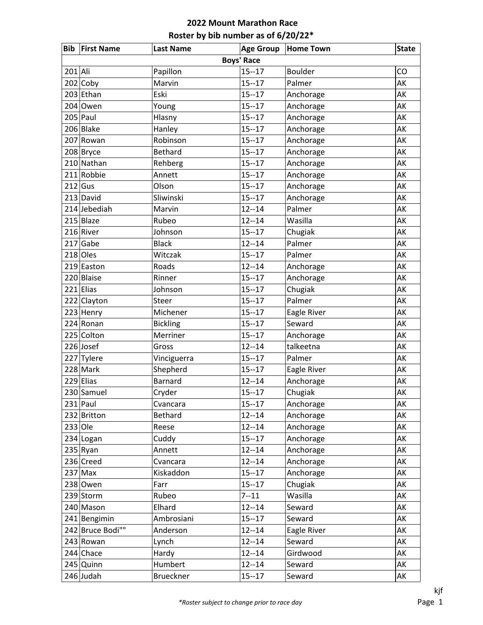| <b>Bib</b> | <b>First Name</b> | <b>Last Name</b> | <b>Age Group</b> | <b>Home Town</b> | <b>State</b> |  |  |  |
|------------|-------------------|------------------|------------------|------------------|--------------|--|--|--|
|            | <b>Boys' Race</b> |                  |                  |                  |              |  |  |  |
| 201 Ali    |                   | Papillon         | $15 - 17$        | <b>Boulder</b>   | CO           |  |  |  |
|            | $202$ Coby        | Marvin           | $15 - 17$        | Palmer           | AK           |  |  |  |
|            | 203 Ethan         | Eski             | $15 - 17$        | Anchorage        | AK           |  |  |  |
|            | $204$ Owen        | Young            | $15 - 17$        | Anchorage        | AK           |  |  |  |
|            | $205$ Paul        | Hlasny           | $15 - 17$        | Anchorage        | AK           |  |  |  |
|            | 206 Blake         | Hanley           | $15 - 17$        | Anchorage        | AK           |  |  |  |
|            | 207 Rowan         | Robinson         | $15 - 17$        | Anchorage        | AK           |  |  |  |
|            | 208 Bryce         | <b>Bethard</b>   | $15 - 17$        | Anchorage        | AK           |  |  |  |
|            | 210 Nathan        | Rehberg          | $15 - 17$        | Anchorage        | AK           |  |  |  |
|            | 211 Robbie        | Annett           | $15 - 17$        | Anchorage        | AK           |  |  |  |
|            | $212$ Gus         | Olson            | $15 - 17$        | Anchorage        | AK           |  |  |  |
|            | $213$ David       | Sliwinski        | $15 - 17$        | Anchorage        | AK           |  |  |  |
|            | 214 Jebediah      | Marvin           | $12 - 14$        | Palmer           | AK           |  |  |  |
|            | $215$ Blaze       | Rubeo            | $12 - 14$        | Wasilla          | AK           |  |  |  |
|            | 216 River         | Johnson          | $15 - 17$        | Chugiak          | AK           |  |  |  |
|            | $217$ Gabe        | <b>Black</b>     | $12 - 14$        | Palmer           | AK           |  |  |  |
|            | $218$ Oles        | Witczak          | $15 - 17$        | Palmer           | AK           |  |  |  |
|            | 219 Easton        | Roads            | $12 - 14$        | Anchorage        | AK           |  |  |  |
|            | 220 Blaise        | Rinner           | $15 - 17$        | Anchorage        | AK           |  |  |  |
|            | $221$ Elias       | Johnson          | $15 - 17$        | Chugiak          | AK           |  |  |  |
|            | 222 Clayton       | Steer            | $15 - 17$        | Palmer           | AK           |  |  |  |
|            | 223 Henry         | Michener         | $15 - 17$        | Eagle River      | AK           |  |  |  |
|            | 224 Ronan         | <b>Bickling</b>  | $15 - 17$        | Seward           | AK           |  |  |  |
|            | 225 Colton        | Merriner         | $15 - 17$        | Anchorage        | AK           |  |  |  |
|            | $226$ Josef       | Gross            | $12 - 14$        | talkeetna        | AK           |  |  |  |
|            | 227 Tylere        | Vinciguerra      | $15 - 17$        | Palmer           | AK           |  |  |  |
|            | 228 Mark          | Shepherd         | $15 - 17$        | Eagle River      | AK           |  |  |  |
|            | 229 Elias         | <b>Barnard</b>   | $12 - 14$        | Anchorage        | AK           |  |  |  |
|            | 230 Samuel        | Cryder           | $15 - 17$        | Chugiak          | AK           |  |  |  |
|            | $231$ Paul        | Cvancara         | $15 - 17$        | Anchorage        | AK           |  |  |  |
|            | 232 Britton       | <b>Bethard</b>   | $12 - 14$        | Anchorage        | AK           |  |  |  |
| $233$ Ole  |                   | Reese            | $12 - 14$        | Anchorage        | AK           |  |  |  |
|            | 234 Logan         | Cuddy            | $15 - 17$        | Anchorage        | AK           |  |  |  |
|            | $235$ Ryan        | Annett           | $12 - 14$        | Anchorage        | AK           |  |  |  |
|            | 236 Creed         | Cvancara         | $12 - 14$        | Anchorage        | AK           |  |  |  |
|            | $237$ Max         | Kiskaddon        | $15 - 17$        | Anchorage        | AK           |  |  |  |
|            | 238 Owen          | Farr             | $15 - 17$        | Chugiak          | AK           |  |  |  |
|            | 239 Storm         | Rubeo            | $7 - 11$         | Wasilla          | AK           |  |  |  |
|            | 240 Mason         | Elhard           | $12 - 14$        | Seward           | AK           |  |  |  |
|            | 241 Bengimin      | Ambrosiani       | $15 - 17$        | Seward           | AK           |  |  |  |
|            | 242 Bruce Bodi""  | Anderson         | $12 - 14$        | Eagle River      | AK           |  |  |  |
|            | 243 Rowan         | Lynch            | $12 - 14$        | Seward           | AK           |  |  |  |
|            | $244$ Chace       | Hardy            | $12 - 14$        | Girdwood         | AK           |  |  |  |
|            | $245$ Quinn       | Humbert          | $12 - 14$        | Seward           | AK           |  |  |  |
|            | 246 Judah         | Brueckner        | $15 - 17$        | Seward           | AK           |  |  |  |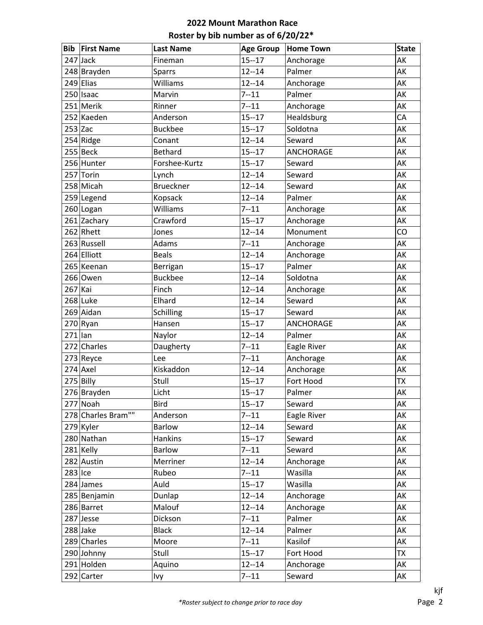| <b>Bib</b> | <b>First Name</b>  | <b>Last Name</b> | <b>Age Group</b> | <b>Home Town</b> | <b>State</b> |
|------------|--------------------|------------------|------------------|------------------|--------------|
|            | $247$ Jack         | Fineman          | $15 - 17$        | Anchorage        | AK           |
|            | 248 Brayden        | Sparrs           | $12 - 14$        | Palmer           | AK           |
|            | $249$  Elias       | Williams         | $12 - 14$        | Anchorage        | AK           |
|            | 250 Isaac          | Marvin           | $7 - 11$         | Palmer           | AK           |
|            | 251 Merik          | Rinner           | $7 - 11$         | Anchorage        | AK           |
|            | 252 Kaeden         | Anderson         | $15 - 17$        | Healdsburg       | CA           |
| $253$ Zac  |                    | <b>Buckbee</b>   | $15 - 17$        | Soldotna         | AK           |
|            | 254 Ridge          | Conant           | $12 - 14$        | Seward           | AK           |
|            | 255 Beck           | <b>Bethard</b>   | $15 - 17$        | <b>ANCHORAGE</b> | AK           |
|            | 256 Hunter         | Forshee-Kurtz    | $15 - 17$        | Seward           | AK           |
|            | 257 Torin          | Lynch            | $12 - 14$        | Seward           | AK           |
|            | 258 Micah          | <b>Brueckner</b> | $12 - 14$        | Seward           | AK           |
|            | 259 Legend         | Kopsack          | $12 - 14$        | Palmer           | AK           |
|            | 260 Logan          | Williams         | $7 - 11$         | Anchorage        | AK           |
|            | 261 Zachary        | Crawford         | $15 - 17$        | Anchorage        | AK           |
|            | 262 Rhett          | Jones            | $12 - 14$        | Monument         | CO           |
|            | 263 Russell        | Adams            | $7 - 11$         | Anchorage        | AK           |
|            | 264 Elliott        | <b>Beals</b>     | $12 - 14$        | Anchorage        | AK           |
|            | 265 Keenan         | Berrigan         | $15 - 17$        | Palmer           | AK           |
|            | 266 Owen           | <b>Buckbee</b>   | $12 - 14$        | Soldotna         | AK           |
| $267$ Kai  |                    | Finch            | $12 - 14$        | Anchorage        | AK           |
|            | 268 Luke           | Elhard           | $12 - 14$        | Seward           | AK           |
|            | 269 Aidan          | Schilling        | $15 - 17$        | Seward           | AK           |
|            | 270 Ryan           | Hansen           | $15 - 17$        | ANCHORAGE        | AK           |
| $271$  lan |                    | Naylor           | $12 - 14$        | Palmer           | AK           |
|            | 272 Charles        | Daugherty        | $7 - 11$         | Eagle River      | AK           |
|            | 273 Reyce          | Lee              | $7 - 11$         | Anchorage        | AK           |
|            | $274$ Axel         | Kiskaddon        | $12 - 14$        | Anchorage        | AK           |
|            | $275$ Billy        | Stull            | $15 - 17$        | Fort Hood        | <b>ΤΧ</b>    |
|            | 276 Brayden        | Licht            | $15 - 17$        | Palmer           | AK           |
|            | 277 Noah           | <b>Bird</b>      | $15 - 17$        | Seward           | AK           |
|            | 278 Charles Bram"" | Anderson         | $7 - 11$         | Eagle River      | AK           |
|            | $279$ Kyler        | <b>Barlow</b>    | $12 - 14$        | Seward           | AK           |
|            | 280 Nathan         | Hankins          | $15 - 17$        | Seward           | AK           |
|            | $281$ Kelly        | Barlow           | $7 - 11$         | Seward           | AK           |
|            | 282 Austin         | Merriner         | $12 - 14$        | Anchorage        | AK           |
| $283$ Ice  |                    | Rubeo            | $7 - 11$         | Wasilla          | AK           |
|            | 284 James          | Auld             | $15 - 17$        | Wasilla          | AK           |
|            | 285 Benjamin       | Dunlap           | $12 - 14$        | Anchorage        | AK           |
|            | 286 Barret         | Malouf           | $12 - 14$        | Anchorage        | AK           |
|            | 287 Jesse          | Dickson          | $7 - 11$         | Palmer           | AK           |
|            | 288 Jake           | <b>Black</b>     | $12 - 14$        | Palmer           | AK           |
|            | 289 Charles        | Moore            | $7 - 11$         | Kasilof          | AK           |
|            | 290 Johnny         | Stull            | $15 - 17$        | Fort Hood        | <b>TX</b>    |
|            | 291 Holden         | Aquino           | $12 - 14$        | Anchorage        | AK           |
|            | $292$ Carter       | Ivy              | $7 - 11$         | Seward           | AK           |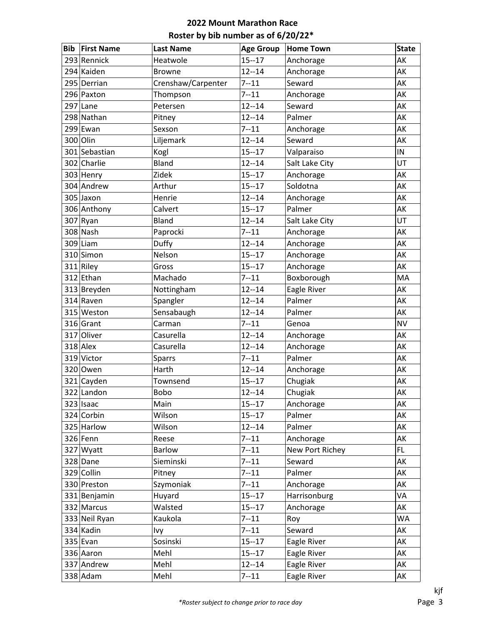| <b>Bib</b> | <b>First Name</b> | <b>Last Name</b>   | <b>Age Group</b> | <b>Home Town</b> | <b>State</b> |
|------------|-------------------|--------------------|------------------|------------------|--------------|
|            | 293 Rennick       | Heatwole           | $15 - 17$        | Anchorage        | AK           |
|            | 294 Kaiden        | <b>Browne</b>      | $12 - 14$        | Anchorage        | AK           |
|            | 295 Derrian       | Crenshaw/Carpenter | $7 - 11$         | Seward           | AK           |
|            | 296 Paxton        | Thompson           | $7 - 11$         | Anchorage        | AK           |
|            | $297$ Lane        | Petersen           | $12 - 14$        | Seward           | AK           |
|            | 298 Nathan        | Pitney             | $12 - 14$        | Palmer           | AK           |
|            | 299 Ewan          | Sexson             | $7 - 11$         | Anchorage        | AK           |
|            | 300 Olin          | Liljemark          | $12 - 14$        | Seward           | AK           |
|            | 301 Sebastian     | Kogl               | $15 - 17$        | Valparaiso       | IN           |
|            | 302 Charlie       | Bland              | $12 - 14$        | Salt Lake City   | UT           |
|            | 303 Henry         | Zidek              | $15 - 17$        | Anchorage        | AK           |
|            | 304 Andrew        | Arthur             | $15 - 17$        | Soldotna         | AK           |
|            | 305 Jaxon         | Henrie             | $12 - 14$        | Anchorage        | AK           |
|            | 306 Anthony       | Calvert            | $15 - 17$        | Palmer           | AK           |
|            | $307$ Ryan        | Bland              | $12 - 14$        | Salt Lake City   | UT           |
|            | 308 Nash          | Paprocki           | $7 - 11$         | Anchorage        | AK           |
|            | $309$  Liam       | Duffy              | $12 - 14$        | Anchorage        | AK           |
|            | 310 Simon         | Nelson             | $15 - 17$        | Anchorage        | AK           |
|            | $311$ Riley       | Gross              | $15 - 17$        | Anchorage        | AK           |
|            | 312 Ethan         | Machado            | $7 - 11$         | Boxborough       | MA           |
|            | 313 Breyden       | Nottingham         | $12 - 14$        | Eagle River      | AK           |
|            | $314$ Raven       | Spangler           | $12 - 14$        | Palmer           | AK           |
|            | 315 Weston        | Sensabaugh         | $12 - 14$        | Palmer           | AK           |
|            | 316 Grant         | Carman             | $7 - 11$         | Genoa            | <b>NV</b>    |
|            | 317 Oliver        | Casurella          | $12 - 14$        | Anchorage        | AK           |
|            | $318$ Alex        | Casurella          | $12 - 14$        | Anchorage        | AK           |
|            | 319 Victor        | <b>Sparrs</b>      | $7 - 11$         | Palmer           | AK           |
|            | 320 Owen          | Harth              | $12 - 14$        | Anchorage        | AK           |
|            | 321 Cayden        | Townsend           | $15 - 17$        | Chugiak          | AK           |
|            | 322 Landon        | Bobo               | $12 - 14$        | Chugiak          | AK           |
|            | 323 Isaac         | Main               | $15 - 17$        | Anchorage        | AK           |
|            | 324 Corbin        | Wilson             | $15 - 17$        | Palmer           | AK           |
|            | 325 Harlow        | Wilson             | $12 - 14$        | Palmer           | AK           |
|            | $326$ Fenn        | Reese              | $7 - 11$         | Anchorage        | AK           |
|            | 327 Wyatt         | <b>Barlow</b>      | $7 - 11$         | New Port Richey  | FL.          |
|            | 328 Dane          | Sieminski          | $7 - 11$         | Seward           | AK           |
|            | 329 Collin        | Pitney             | $7 - 11$         | Palmer           | AK           |
|            | 330 Preston       | Szymoniak          | $7 - 11$         | Anchorage        | AK           |
|            | 331 Benjamin      | Huyard             | $15 - 17$        | Harrisonburg     | VA           |
|            | 332 Marcus        | Walsted            | $15 - 17$        | Anchorage        | АK           |
|            | 333 Neil Ryan     | Kaukola            | $7 - 11$         | Roy              | <b>WA</b>    |
|            | 334 Kadin         | Ivy                | $7 - 11$         | Seward           | AK           |
|            | $335$ Evan        | Sosinski           | $15 - 17$        | Eagle River      | AK           |
|            | 336 Aaron         | Mehl               | $15 - 17$        | Eagle River      | AK           |
|            | 337 Andrew        | Mehl               | $12 - 14$        | Eagle River      | AK           |
|            | $338$ Adam        | Mehl               | $7 - 11$         | Eagle River      | АK           |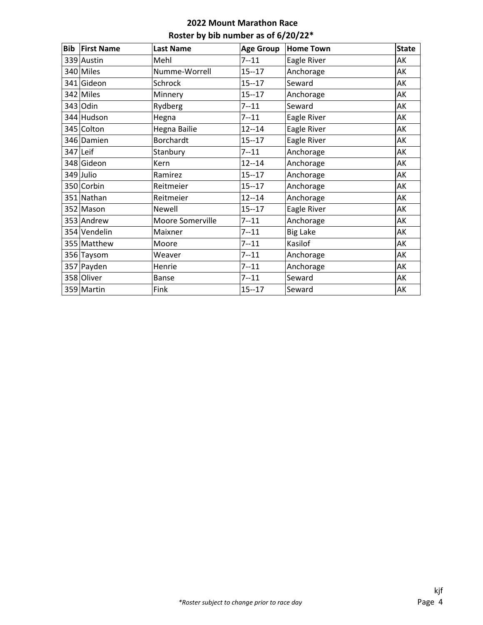| <b>Bib First Name</b> | <b>Last Name</b>    | <b>Age Group</b> | <b>Home Town</b> | <b>State</b> |
|-----------------------|---------------------|------------------|------------------|--------------|
| 339 Austin            | Mehl                | $7 - 11$         | Eagle River      | AK           |
| 340 Miles             | Numme-Worrell       | $15 - 17$        | Anchorage        | AK           |
| 341 Gideon            | Schrock             | $15 - 17$        | Seward           | AK           |
| 342 Miles             | Minnery             | $15 - 17$        | Anchorage        | <b>AK</b>    |
| 343 Odin              | Rydberg             | $7 - 11$         | Seward           | AK           |
| 344 Hudson            | Hegna               | $7 - 11$         | Eagle River      | AK           |
| 345 Colton            | <b>Hegna Bailie</b> | $12 - 14$        | Eagle River      | AK           |
| 346 Damien            | Borchardt           | $15 - 17$        | Eagle River      | AK           |
| 347 Leif              | Stanbury            | $7 - 11$         | Anchorage        | AK           |
| 348 Gideon            | Kern                | $12 - 14$        | Anchorage        | AK           |
| 349 Julio             | Ramirez             | $15 - 17$        | Anchorage        | AK           |
| 350 Corbin            | Reitmeier           | $15 - 17$        | Anchorage        | AK           |
| 351 Nathan            | Reitmeier           | $12 - 14$        | Anchorage        | AK           |
| 352 Mason             | Newell              | $15 - 17$        | Eagle River      | AK           |
| 353 Andrew            | Moore Somerville    | $7 - 11$         | Anchorage        | AK           |
| 354 Vendelin          | Maixner             | $7 - 11$         | <b>Big Lake</b>  | AK           |
| 355 Matthew           | Moore               | $7 - 11$         | Kasilof          | AK           |
| 356 Taysom            | Weaver              | $7 - 11$         | Anchorage        | AK           |
| 357 Payden            | Henrie              | $7 - 11$         | Anchorage        | AK           |
| 358 Oliver            | Banse               | $7 - 11$         | Seward           | AK           |
| 359 Martin            | Fink                | $15 - 17$        | Seward           | AK           |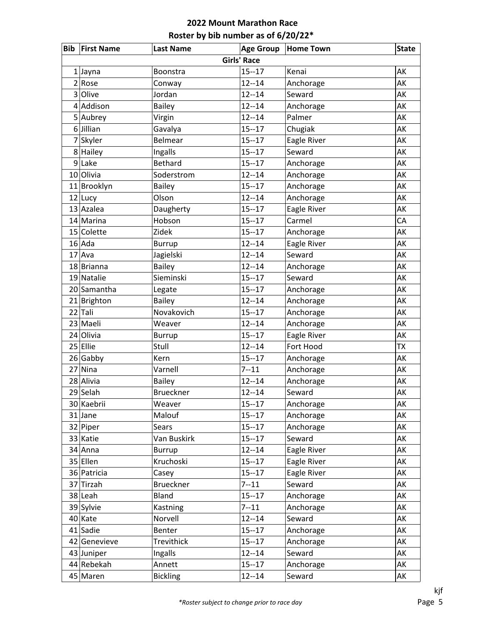|                | <b>Bib First Name</b> | <b>Last Name</b> | <b>Age Group</b> | <b>Home Town</b> | <b>State</b> |  |  |  |
|----------------|-----------------------|------------------|------------------|------------------|--------------|--|--|--|
|                | <b>Girls' Race</b>    |                  |                  |                  |              |  |  |  |
|                | $1$ Jayna             | Boonstra         | $15 - 17$        | Kenai            | AK           |  |  |  |
|                | 2 Rose                | Conway           | $12 - 14$        | Anchorage        | AK           |  |  |  |
| 3              | Olive                 | Jordan           | $12 - 14$        | Seward           | AK           |  |  |  |
| 4              | Addison               | <b>Bailey</b>    | $12 - 14$        | Anchorage        | AK           |  |  |  |
|                | 5 Aubrey              | Virgin           | $12 - 14$        | Palmer           | AK           |  |  |  |
| 6              | Jillian               | Gavalya          | $15 - 17$        | Chugiak          | AK           |  |  |  |
| $\overline{7}$ | Skyler                | Belmear          | $15 - 17$        | Eagle River      | AK           |  |  |  |
|                | 8 Hailey              | Ingalls          | $15 - 17$        | Seward           | AK           |  |  |  |
| $\overline{9}$ | Lake                  | <b>Bethard</b>   | $15 - 17$        | Anchorage        | AK           |  |  |  |
|                | 10 Olivia             | Soderstrom       | $12 - 14$        | Anchorage        | AK           |  |  |  |
|                | 11 Brooklyn           | <b>Bailey</b>    | $15 - 17$        | Anchorage        | AK           |  |  |  |
|                | $12$ Lucy             | Olson            | $12 - 14$        | Anchorage        | AK           |  |  |  |
|                | 13 Azalea             | Daugherty        | $15 - 17$        | Eagle River      | AK           |  |  |  |
|                | 14 Marina             | Hobson           | $15 - 17$        | Carmel           | CA           |  |  |  |
|                | 15 Colette            | Zidek            | $15 - 17$        | Anchorage        | AK           |  |  |  |
|                | $16$ Ada              | <b>Burrup</b>    | $12 - 14$        | Eagle River      | AK           |  |  |  |
|                | $17$ Ava              | Jagielski        | $12 - 14$        | Seward           | AK           |  |  |  |
|                | 18 Brianna            | <b>Bailey</b>    | $12 - 14$        | Anchorage        | AK           |  |  |  |
|                | 19 Natalie            | Sieminski        | $15 - 17$        | Seward           | AK           |  |  |  |
|                | 20 Samantha           | Legate           | $15 - 17$        | Anchorage        | AK           |  |  |  |
|                | $21$ Brighton         | <b>Bailey</b>    | $12 - 14$        | Anchorage        | AK           |  |  |  |
|                | 22 Tali               | Novakovich       | $15 - 17$        | Anchorage        | AK           |  |  |  |
|                | 23 Maeli              | Weaver           | $12 - 14$        | Anchorage        | AK           |  |  |  |
|                | 24 Olivia             | <b>Burrup</b>    | $15 - 17$        | Eagle River      | AK           |  |  |  |
|                | 25 Ellie              | Stull            | $12 - 14$        | Fort Hood        | <b>TX</b>    |  |  |  |
|                | $26$ Gabby            | Kern             | $15 - 17$        | Anchorage        | AK           |  |  |  |
|                | 27 Nina               | Varnell          | $7 - 11$         | Anchorage        | AK           |  |  |  |
|                | 28 Alivia             | <b>Bailey</b>    | $12 - 14$        | Anchorage        | AK           |  |  |  |
|                | 29 Selah              | <b>Brueckner</b> | $12 - 14$        | Seward           | AK           |  |  |  |
|                | 30 Kaebrii            | Weaver           | $15 - 17$        | Anchorage        | AK           |  |  |  |
|                | $31$ Jane             | Malouf           | $15 - 17$        | Anchorage        | AK           |  |  |  |
|                | $32$ Piper            | <b>Sears</b>     | $15 - 17$        | Anchorage        | AK           |  |  |  |
|                | 33 Katie              | Van Buskirk      | $15 - 17$        | Seward           | AK           |  |  |  |
|                | $34$ Anna             | <b>Burrup</b>    | $12 - 14$        | Eagle River      | AK           |  |  |  |
|                | 35 Ellen              | Kruchoski        | $15 - 17$        | Eagle River      | AK           |  |  |  |
|                | 36 Patricia           | Casey            | $15 - 17$        | Eagle River      | AK           |  |  |  |
|                | 37 Tirzah             | <b>Brueckner</b> | $7 - 11$         | Seward           | AK           |  |  |  |
|                | 38 Leah               | Bland            | $15 - 17$        | Anchorage        | AK           |  |  |  |
|                | 39 Sylvie             | Kastning         | $7 - 11$         | Anchorage        | AK           |  |  |  |
|                | 40 Kate               | Norvell          | $12 - 14$        | Seward           | AK           |  |  |  |
|                | 41 Sadie              | Benter           | $15 - 17$        | Anchorage        | AK           |  |  |  |
|                | 42 Genevieve          | Trevithick       | $15 - 17$        | Anchorage        | AK           |  |  |  |
|                | 43 Juniper            | Ingalls          | $12 - 14$        | Seward           | AK           |  |  |  |
|                | 44 Rebekah            | Annett           | $15 - 17$        | Anchorage        | AK           |  |  |  |
|                | 45 Maren              | <b>Bickling</b>  | $12 - 14$        | Seward           | AK           |  |  |  |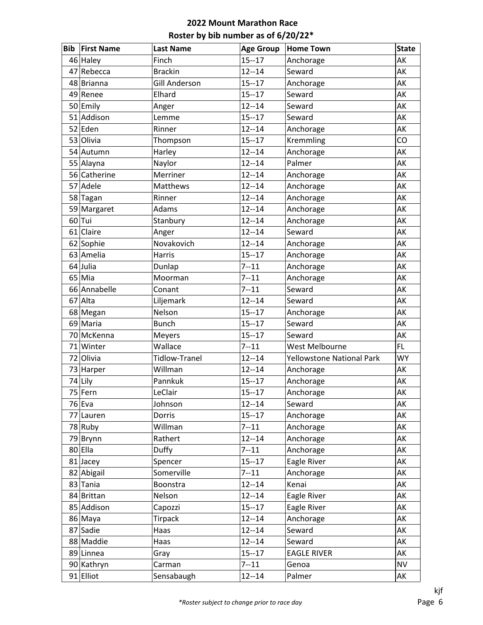| <b>Bib</b> | <b>First Name</b> | <b>Last Name</b>     | <b>Age Group</b> | <b>Home Town</b>                 | <b>State</b> |
|------------|-------------------|----------------------|------------------|----------------------------------|--------------|
|            | 46 Haley          | Finch                | $15 - 17$        | Anchorage                        | AK           |
| 47         | Rebecca           | <b>Brackin</b>       | $12 - 14$        | Seward                           | AK           |
|            | 48 Brianna        | <b>Gill Anderson</b> | $15 - 17$        | Anchorage                        | AK           |
|            | 49 Renee          | Elhard               | $15 - 17$        | Seward                           | AK           |
|            | 50 Emily          | Anger                | $12 - 14$        | Seward                           | AK           |
| 51         | Addison           | Lemme                | $15 - 17$        | Seward                           | AK           |
|            | 52 Eden           | Rinner               | $12 - 14$        | Anchorage                        | AK           |
|            | 53 Olivia         | Thompson             | $15 - 17$        | Kremmling                        | CO           |
|            | 54 Autumn         | Harley               | $12 - 14$        | Anchorage                        | AK           |
|            | 55 Alayna         | Naylor               | $12 - 14$        | Palmer                           | AK           |
|            | 56 Catherine      | Merriner             | $12 - 14$        | Anchorage                        | AK           |
| 57         | Adele             | Matthews             | $12 - 14$        | Anchorage                        | AK           |
|            | 58 Tagan          | Rinner               | $12 - 14$        | Anchorage                        | AK           |
|            | 59 Margaret       | Adams                | $12 - 14$        | Anchorage                        | AK           |
|            | $60$ Tui          | Stanbury             | $12 - 14$        | Anchorage                        | AK           |
|            | $61$ Claire       | Anger                | $12 - 14$        | Seward                           | AK           |
|            | 62 Sophie         | Novakovich           | $12 - 14$        | Anchorage                        | AK           |
|            | 63 Amelia         | Harris               | $15 - 17$        | Anchorage                        | AK           |
|            | 64 Julia          | Dunlap               | $7 - 11$         | Anchorage                        | AK           |
|            | $65$ Mia          | Moorman              | $7 - 11$         | Anchorage                        | AK           |
|            | 66 Annabelle      | Conant               | $7 - 11$         | Seward                           | AK           |
| 67         | Alta              | Liljemark            | $12 - 14$        | Seward                           | AK           |
|            | 68 Megan          | Nelson               | $15 - 17$        | Anchorage                        | AK           |
|            | 69 Maria          | <b>Bunch</b>         | $15 - 17$        | Seward                           | AK           |
|            | 70 McKenna        | <b>Meyers</b>        | $15 - 17$        | Seward                           | AK           |
|            | 71 Winter         | Wallace              | $7 - 11$         | <b>West Melbourne</b>            | FL.          |
|            | 72 Olivia         | <b>Tidlow-Tranel</b> | $12 - 14$        | <b>Yellowstone National Park</b> | <b>WY</b>    |
|            | 73 Harper         | Willman              | $12 - 14$        | Anchorage                        | AK           |
|            | 74 Lily           | Pannkuk              | $15 - 17$        | Anchorage                        | AK           |
|            | 75 Fern           | LeClair              | $15 - 17$        | Anchorage                        | AK           |
|            | 76 Eva            | Johnson              | $12 - 14$        | Seward                           | AK           |
|            | 77 Lauren         | Dorris               | $15 - 17$        | Anchorage                        | AK           |
|            | 78 Ruby           | Willman              | $7 - 11$         | Anchorage                        | AK           |
|            | 79 Brynn          | Rathert              | $12 - 14$        | Anchorage                        | AK           |
|            | 80 Ella           | Duffy                | $7 - 11$         | Anchorage                        | AK           |
|            | $81$ Jacey        | Spencer              | $15 - 17$        | Eagle River                      | AK           |
|            | 82 Abigail        | Somerville           | $7 - 11$         | Anchorage                        | AK           |
|            | 83 Tania          | Boonstra             | $12 - 14$        | Kenai                            | AK           |
|            | 84 Brittan        | Nelson               | $12 - 14$        | Eagle River                      | AK           |
|            | 85 Addison        | Capozzi              | $15 - 17$        | Eagle River                      | AK           |
|            | 86 Maya           | Tirpack              | $12 - 14$        | Anchorage                        | AK           |
|            | 87 Sadie          | Haas                 | $12 - 14$        | Seward                           | AK           |
|            | 88 Maddie         | Haas                 | $12 - 14$        | Seward                           | AK           |
|            | 89 Linnea         | Gray                 | $15 - 17$        | <b>EAGLE RIVER</b>               | AK           |
|            | 90 Kathryn        | Carman               | $7 - 11$         | Genoa                            | <b>NV</b>    |
|            | 91 Elliot         | Sensabaugh           | $12 - 14$        | Palmer                           | AK           |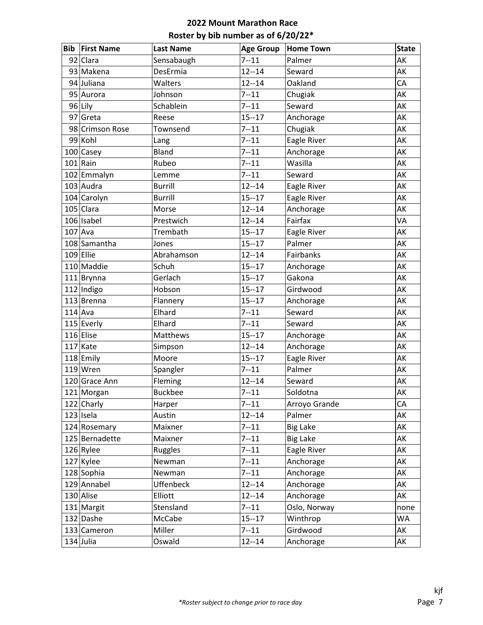| <b>Bib</b> | <b>First Name</b> | <b>Last Name</b> | <b>Age Group</b> | <b>Home Town</b> | <b>State</b> |
|------------|-------------------|------------------|------------------|------------------|--------------|
|            | 92 Clara          | Sensabaugh       | $7 - 11$         | Palmer           | AK           |
|            | 93 Makena         | DesErmia         | $12 - 14$        | Seward           | AK           |
|            | 94 Juliana        | Walters          | $12 - 14$        | Oakland          | CA           |
|            | 95 Aurora         | Johnson          | $7 - 11$         | Chugiak          | AK           |
|            | 96 Lily           | Schablein        | $7 - 11$         | Seward           | AK           |
|            | $97$ Greta        | Reese            | $15 - 17$        | Anchorage        | AK           |
|            | 98 Crimson Rose   | Townsend         | $7 - 11$         | Chugiak          | AK           |
|            | 99 Kohl           | Lang             | $7 - 11$         | Eagle River      | AK           |
|            | 100 Casey         | <b>Bland</b>     | $7 - 11$         | Anchorage        | AK           |
|            | $101$ Rain        | Rubeo            | $7 - 11$         | Wasilla          | AK           |
|            | 102 Emmalyn       | Lemme            | $7 - 11$         | Seward           | AK           |
|            | $103$ Audra       | <b>Burrill</b>   | $12 - 14$        | Eagle River      | AK           |
|            | 104 Carolyn       | <b>Burrill</b>   | $15 - 17$        | Eagle River      | AK           |
|            | 105 Clara         | Morse            | $12 - 14$        | Anchorage        | AK           |
|            | $106$ Isabel      | Prestwich        | $12 - 14$        | Fairfax          | VA           |
|            | $107$ Ava         | Trembath         | $15 - 17$        | Eagle River      | AK           |
|            | 108 Samantha      | Jones            | $15 - 17$        | Palmer           | AK           |
|            | $109$ Ellie       | Abrahamson       | $12 - 14$        | Fairbanks        | AK           |
|            | 110 Maddie        | Schuh            | $15 - 17$        | Anchorage        | AK           |
|            | $111$  Brynna     | Gerlach          | $15 - 17$        | Gakona           | AK           |
|            | $112$  Indigo     | Hobson           | $15 - 17$        | Girdwood         | AK           |
|            | 113 Brenna        | Flannery         | $15 - 17$        | Anchorage        | AK           |
|            | $114$ Ava         | Elhard           | $7 - 11$         | Seward           | AK           |
|            | 115 Everly        | Elhard           | $7 - 11$         | Seward           | AK           |
|            | 116 Elise         | Matthews         | $15 - 17$        | Anchorage        | AK           |
|            | $117$ Kate        | Simpson          | $12 - 14$        | Anchorage        | AK           |
|            | 118 Emily         | Moore            | $15 - 17$        | Eagle River      | AK           |
|            | $119$ Wren        | Spangler         | $7 - 11$         | Palmer           | AK           |
|            | 120 Grace Ann     | Fleming          | $12 - 14$        | Seward           | AK           |
|            | 121 Morgan        | <b>Buckbee</b>   | $7 - 11$         | Soldotna         | AK           |
|            | 122 Charly        | Harper           | $7 - 11$         | Arroyo Grande    | CA           |
|            | $123$ Isela       | Austin           | $12 - 14$        | Palmer           | AK           |
|            | 124 Rosemary      | Maixner          | $7 - 11$         | <b>Big Lake</b>  | АK           |
|            | 125 Bernadette    | Maixner          | $7 - 11$         | <b>Big Lake</b>  | AK           |
|            | $126$ Rylee       | Ruggles          | $7 - 11$         | Eagle River      | AK           |
|            | $127$ Kylee       | Newman           | $7 - 11$         | Anchorage        | AK           |
|            | 128 Sophia        | Newman           | $7 - 11$         | Anchorage        | АK           |
|            | 129 Annabel       | <b>Uffenbeck</b> | $12 - 14$        | Anchorage        | АK           |
|            | 130 Alise         | Elliott          | $12 - 14$        | Anchorage        | AK           |
|            | 131 Margit        | Stensland        | $7 - 11$         | Oslo, Norway     | none         |
|            | 132 Dashe         | McCabe           | $15 - 17$        | Winthrop         | WA           |
|            | 133 Cameron       | Miller           | $7 - 11$         | Girdwood         | АK           |
|            | $134$ Julia       | Oswald           | $12 - 14$        | Anchorage        | АK           |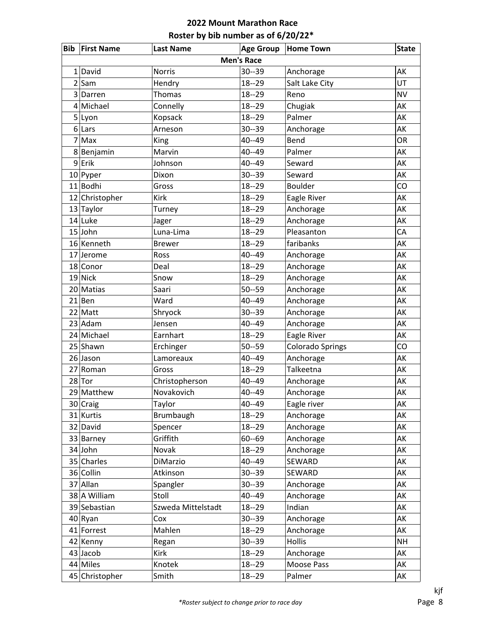| <b>Bib</b>     | <b>First Name</b> | <b>Last Name</b>   | <b>Age Group</b> | <b>Home Town</b>        | <b>State</b> |  |  |  |  |
|----------------|-------------------|--------------------|------------------|-------------------------|--------------|--|--|--|--|
|                | <b>Men's Race</b> |                    |                  |                         |              |  |  |  |  |
| 1              | David             | <b>Norris</b>      | $30 - 39$        | Anchorage               | AK           |  |  |  |  |
| $\overline{2}$ | Sam               | Hendry             | $18 - 29$        | Salt Lake City          | UT           |  |  |  |  |
| 3              | Darren            | <b>Thomas</b>      | $18 - 29$        | Reno                    | <b>NV</b>    |  |  |  |  |
| 4              | Michael           | Connelly           | $18 - 29$        | Chugiak                 | AK           |  |  |  |  |
|                | 5 Lyon            | Kopsack            | $18 - 29$        | Palmer                  | AK           |  |  |  |  |
| 6              | Lars              | Arneson            | $30 - 39$        | Anchorage               | AK           |  |  |  |  |
| 7              | Max               | <b>King</b>        | 40--49           | Bend                    | OR           |  |  |  |  |
|                | 8 Benjamin        | Marvin             | 40--49           | Palmer                  | AK           |  |  |  |  |
| 9              | Erik              | Johnson            | 40--49           | Seward                  | AK           |  |  |  |  |
|                | 10 Pyper          | Dixon              | $30 - 39$        | Seward                  | AK           |  |  |  |  |
|                | 11 Bodhi          | Gross              | $18 - 29$        | <b>Boulder</b>          | CO           |  |  |  |  |
|                | 12 Christopher    | <b>Kirk</b>        | $18 - 29$        | Eagle River             | AK           |  |  |  |  |
|                | 13 Taylor         | Turney             | $18 - 29$        | Anchorage               | AK           |  |  |  |  |
|                | 14 Luke           | Jager              | $18 - 29$        | Anchorage               | AK           |  |  |  |  |
|                | $15$ John         | Luna-Lima          | $18 - 29$        | Pleasanton              | CA           |  |  |  |  |
|                | 16 Kenneth        | <b>Brewer</b>      | $18 - 29$        | faribanks               | AK           |  |  |  |  |
| 17             | Jerome            | Ross               | $40 - 49$        | Anchorage               | AK           |  |  |  |  |
|                | 18 Conor          | Deal               | $18 - 29$        | Anchorage               | AK           |  |  |  |  |
|                | $19$ Nick         | Snow               | $18 - 29$        | Anchorage               | AK           |  |  |  |  |
|                | 20 Matias         | Saari              | $50 - 59$        | Anchorage               | AK           |  |  |  |  |
|                | $21$ Ben          | Ward               | 40--49           | Anchorage               | AK           |  |  |  |  |
|                | $22$ Matt         | Shryock            | $30 - 39$        | Anchorage               | AK           |  |  |  |  |
|                | 23 Adam           | Jensen             | 40--49           | Anchorage               | AK           |  |  |  |  |
|                | 24 Michael        | Earnhart           | $18 - 29$        | Eagle River             | AK           |  |  |  |  |
|                | 25 Shawn          | Erchinger          | $50 - 59$        | <b>Colorado Springs</b> | CO           |  |  |  |  |
|                | 26 Jason          | Lamoreaux          | 40--49           | Anchorage               | AK           |  |  |  |  |
| 27             | Roman             | Gross              | $18 - 29$        | Talkeetna               | AK           |  |  |  |  |
|                | $28$ Tor          | Christopherson     | 40--49           | Anchorage               | AK           |  |  |  |  |
|                | 29 Matthew        | Novakovich         | 40--49           | Anchorage               | AK           |  |  |  |  |
|                | 30 Craig          | Taylor             | 40--49           | Eagle river             | AK           |  |  |  |  |
|                | 31 Kurtis         | Brumbaugh          | $18 - 29$        | Anchorage               | AK           |  |  |  |  |
|                | 32 David          | Spencer            | $18 - 29$        | Anchorage               | AK           |  |  |  |  |
|                | 33 Barney         | Griffith           | $60 - 69$        | Anchorage               | AK           |  |  |  |  |
|                | 34 John           | Novak              | $18 - 29$        | Anchorage               | AK           |  |  |  |  |
|                | 35 Charles        | DiMarzio           | 40--49           | SEWARD                  | AK           |  |  |  |  |
|                | 36 Collin         | Atkinson           | $30 - 39$        | SEWARD                  | AK           |  |  |  |  |
|                | 37 Allan          | Spangler           | $30 - 39$        | Anchorage               | AK           |  |  |  |  |
|                | 38 A William      | Stoll              | 40--49           | Anchorage               | AK           |  |  |  |  |
|                | 39 Sebastian      | Szweda Mittelstadt | $18 - 29$        | Indian                  | AK           |  |  |  |  |
|                | $40$ Ryan         | Cox                | $30 - 39$        | Anchorage               | AK           |  |  |  |  |
|                | 41 Forrest        | Mahlen             | $18 - 29$        | Anchorage               | AK           |  |  |  |  |
|                | 42 Kenny          | Regan              | $30 - 39$        | Hollis                  | <b>NH</b>    |  |  |  |  |
|                | $43$ Jacob        | <b>Kirk</b>        | $18 - 29$        | Anchorage               | AK           |  |  |  |  |
|                | 44 Miles          | Knotek             | $18 - 29$        | Moose Pass              | AK           |  |  |  |  |
|                | 45 Christopher    | Smith              | $18 - 29$        | Palmer                  | AK           |  |  |  |  |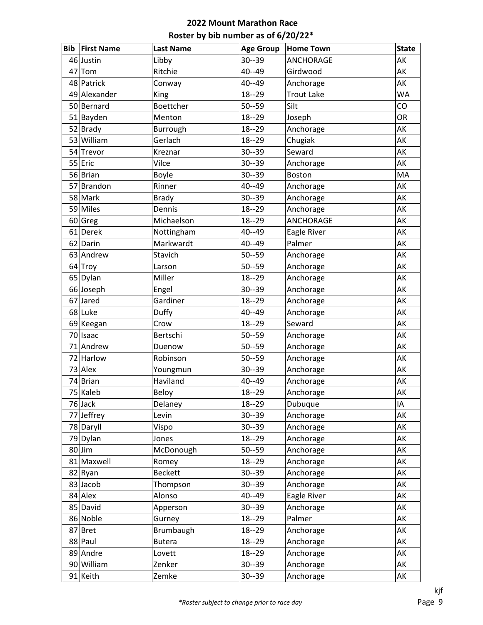| <b>Bib</b> | <b>First Name</b> | <b>Last Name</b> | <b>Age Group</b> | <b>Home Town</b>  | <b>State</b> |
|------------|-------------------|------------------|------------------|-------------------|--------------|
|            | 46 Justin         | Libby            | $30 - 39$        | <b>ANCHORAGE</b>  | AK           |
| 47         | Tom               | Ritchie          | 40--49           | Girdwood          | AK           |
|            | 48 Patrick        | Conway           | 40--49           | Anchorage         | AK           |
|            | 49 Alexander      | King             | $18 - 29$        | <b>Trout Lake</b> | <b>WA</b>    |
|            | 50 Bernard        | Boettcher        | $50 - 59$        | Silt              | CO           |
|            | 51 Bayden         | Menton           | $18 - 29$        | Joseph            | OR           |
| 52         | Brady             | Burrough         | $18 - 29$        | Anchorage         | AK           |
|            | 53 William        | Gerlach          | $18 - 29$        | Chugiak           | AK           |
|            | 54 Trevor         | Kreznar          | $30 - 39$        | Seward            | AK           |
|            | 55 Eric           | Vilce            | $30 - 39$        | Anchorage         | AK           |
|            | 56 Brian          | Boyle            | $30 - 39$        | <b>Boston</b>     | MA           |
| 57         | Brandon           | Rinner           | 40--49           | Anchorage         | AK           |
|            | 58 Mark           | <b>Brady</b>     | $30 - 39$        | Anchorage         | AK           |
|            | 59 Miles          | Dennis           | $18 - 29$        | Anchorage         | AK           |
|            | 60 Greg           | Michaelson       | $18 - 29$        | ANCHORAGE         | AK           |
| 61         | Derek             | Nottingham       | 40--49           | Eagle River       | AK           |
|            | 62 Darin          | Markwardt        | 40--49           | Palmer            | AK           |
|            | 63 Andrew         | Stavich          | $50 - 59$        | Anchorage         | AK           |
|            | 64 Troy           | Larson           | $50 - 59$        | Anchorage         | AK           |
|            | 65 Dylan          | Miller           | $18 - 29$        | Anchorage         | AK           |
|            | 66 Joseph         | Engel            | $30 - 39$        | Anchorage         | AK           |
| 67         | Jared             | Gardiner         | $18 - 29$        | Anchorage         | AK           |
|            | 68 Luke           | Duffy            | 40--49           | Anchorage         | AK           |
|            | 69 Keegan         | Crow             | $18 - 29$        | Seward            | AK           |
|            | 70 Isaac          | Bertschi         | $50 - 59$        | Anchorage         | AK           |
| 71         | Andrew            | Duenow           | $50 - 59$        | Anchorage         | AK           |
|            | 72 Harlow         | Robinson         | $50 - 59$        | Anchorage         | AK           |
|            | 73 Alex           | Youngmun         | $30 - 39$        | Anchorage         | AK           |
|            | 74 Brian          | Haviland         | 40--49           | Anchorage         | AK           |
|            | 75 Kaleb          | Beloy            | $18 - 29$        | Anchorage         | АK           |
|            | 76 Jack           | Delaney          | $18 - 29$        | Dubuque           | IA           |
|            | 77 Jeffrey        | Levin            | $30 - 39$        | Anchorage         | AK           |
|            | 78 Daryll         | Vispo            | $30 - 39$        | Anchorage         | AK           |
|            | 79 Dylan          | Jones            | $18 - 29$        | Anchorage         | AK           |
|            | $80$ Jim          | McDonough        | $50 - 59$        | Anchorage         | AK           |
|            | 81 Maxwell        | Romey            | $18 - 29$        | Anchorage         | AK           |
|            | 82 Ryan           | <b>Beckett</b>   | $30 - 39$        | Anchorage         | AK           |
|            | 83 Jacob          | Thompson         | $30 - 39$        | Anchorage         | AK           |
|            | 84 Alex           | Alonso           | 40--49           | Eagle River       | AK           |
|            | 85 David          | Apperson         | $30 - 39$        | Anchorage         | AK           |
|            | 86 Noble          | Gurney           | $18 - 29$        | Palmer            | AK           |
|            | 87 Bret           | Brumbaugh        | $18 - 29$        | Anchorage         | AK           |
|            | 88 Paul           | <b>Butera</b>    | $18 - 29$        | Anchorage         | AK           |
|            | 89 Andre          | Lovett           | $18 - 29$        | Anchorage         | AK           |
|            | 90 William        | Zenker           | $30 - 39$        | Anchorage         | AK           |
|            | 91 Keith          | Zemke            | $30 - 39$        | Anchorage         | AK           |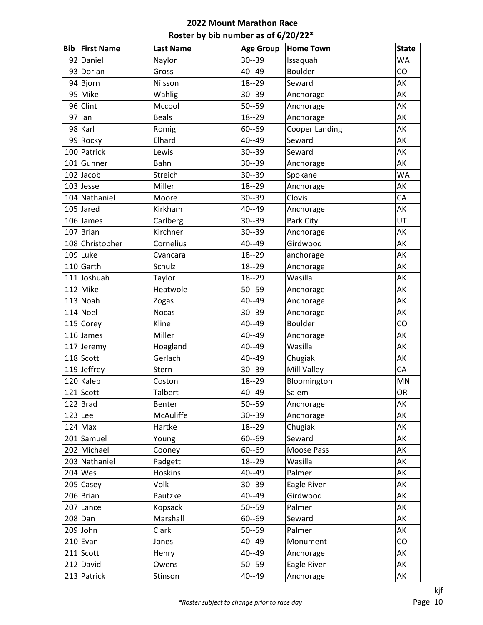| <b>Bib</b> | <b>First Name</b> | <b>Last Name</b> | <b>Age Group</b> | <b>Home Town</b>      | <b>State</b> |
|------------|-------------------|------------------|------------------|-----------------------|--------------|
|            | 92 Daniel         | Naylor           | $30 - 39$        | Issaquah              | <b>WA</b>    |
|            | 93 Dorian         | Gross            | $40 - 49$        | <b>Boulder</b>        | CO           |
|            | $94$ Bjorn        | Nilsson          | $18 - 29$        | Seward                | AK           |
|            | 95 Mike           | Wahlig           | $30 - 39$        | Anchorage             | AK           |
|            | 96 Clint          | Mccool           | $50 - 59$        | Anchorage             | AK           |
|            | $97$  lan         | <b>Beals</b>     | $18 - 29$        | Anchorage             | AK           |
|            | 98 Karl           | Romig            | $60 - 69$        | <b>Cooper Landing</b> | AK           |
|            | 99 Rocky          | Elhard           | $40 - 49$        | Seward                | AK           |
|            | 100 Patrick       | Lewis            | $30 - 39$        | Seward                | AK           |
|            | 101 Gunner        | Bahn             | $30 - 39$        | Anchorage             | AK           |
|            | $102$ Jacob       | Streich          | $30 - 39$        | Spokane               | <b>WA</b>    |
|            | $103$ Jesse       | Miller           | $18 - 29$        | Anchorage             | AK           |
|            | 104 Nathaniel     | Moore            | $30 - 39$        | Clovis                | CA           |
|            | $105$ Jared       | Kirkham          | $40 - 49$        | Anchorage             | AK           |
|            | $106$ James       | Carlberg         | $30 - 39$        | Park City             | UT           |
|            | 107 Brian         | Kirchner         | $30 - 39$        | Anchorage             | AK           |
|            | 108 Christopher   | Cornelius        | $40 - 49$        | Girdwood              | AK           |
|            | $109$ Luke        | Cvancara         | $18 - 29$        | anchorage             | AK           |
|            | $110$ Garth       | Schulz           | $18 - 29$        | Anchorage             | AK           |
|            | 111 Joshuah       | Taylor           | $18 - 29$        | Wasilla               | AK           |
|            | $112$ Mike        | Heatwole         | $50 - 59$        | Anchorage             | AK           |
|            | $113$ Noah        | Zogas            | $40 - 49$        | Anchorage             | AK           |
|            | $114$ Noel        | <b>Nocas</b>     | $30 - 39$        | Anchorage             | AK           |
|            | 115 Corey         | Kline            | $40 - 49$        | <b>Boulder</b>        | CO           |
|            | $116$ James       | Miller           | $40 - 49$        | Anchorage             | AK           |
|            | 117 Jeremy        | Hoagland         | $40 - 49$        | Wasilla               | AK           |
|            | $118$ Scott       | Gerlach          | $40 - 49$        | Chugiak               | AK           |
|            | $119$ Jeffrey     | Stern            | $30 - 39$        | Mill Valley           | CA           |
|            | 120 Kaleb         | Coston           | $18 - 29$        | Bloomington           | MN           |
|            | 121 Scott         | <b>Talbert</b>   | 40--49           | Salem                 | OR           |
|            | $122$ Brad        | Benter           | $50 - 59$        | Anchorage             | AK           |
|            | $123$ Lee         | McAuliffe        | $30 - 39$        | Anchorage             | AK           |
|            | $124$ Max         | Hartke           | $18 - 29$        | Chugiak               | AK           |
|            | 201 Samuel        | Young            | $60 - 69$        | Seward                | AK           |
|            | 202 Michael       | Cooney           | $60 - 69$        | Moose Pass            | AK           |
|            | 203 Nathaniel     | Padgett          | $18 - 29$        | Wasilla               | AK           |
|            | $204$ Wes         | Hoskins          | $40 - 49$        | Palmer                | AK           |
|            | 205 Casey         | Volk             | $30 - 39$        | Eagle River           | AK           |
|            | 206 Brian         | Pautzke          | $40 - 49$        | Girdwood              | AK           |
|            | 207 Lance         | Kopsack          | $50 - 59$        | Palmer                | AK           |
|            | $208$ Dan         | Marshall         | $60 - 69$        | Seward                | AK           |
|            | $209$ John        | Clark            | $50 - 59$        | Palmer                | AK           |
|            | $210$ Evan        | Jones            | $40 - 49$        | Monument              | CO           |
|            | $211$ Scott       | Henry            | $40 - 49$        | Anchorage             | AK           |
|            | 212 David         | Owens            | $50 - 59$        | Eagle River           | AK           |
|            | 213 Patrick       | Stinson          | $40 - 49$        | Anchorage             | AK           |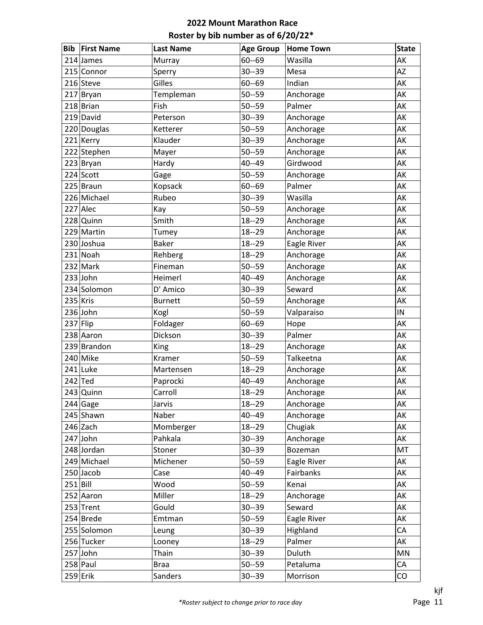| Bib        | <b>First Name</b> | <b>Last Name</b> | <b>Age Group</b> | <b>Home Town</b> | <b>State</b> |
|------------|-------------------|------------------|------------------|------------------|--------------|
|            | 214 James         | Murray           | $60 - 69$        | Wasilla          | AK           |
|            | 215 Connor        | Sperry           | $30 - 39$        | Mesa             | <b>AZ</b>    |
|            | 216 Steve         | Gilles           | $60 - 69$        | Indian           | AK           |
|            | 217 Bryan         | Templeman        | $50 - 59$        | Anchorage        | AK           |
|            | 218 Brian         | Fish             | $50 - 59$        | Palmer           | AK           |
|            | 219 David         | Peterson         | $30 - 39$        | Anchorage        | AK           |
|            | 220 Douglas       | Ketterer         | $50 - 59$        | Anchorage        | AK           |
|            | 221 Kerry         | Klauder          | $30 - 39$        | Anchorage        | AK           |
|            | 222 Stephen       | Mayer            | $50 - 59$        | Anchorage        | AK           |
|            | 223 Bryan         | Hardy            | $40 - 49$        | Girdwood         | AK           |
|            | 224 Scott         | Gage             | $50 - 59$        | Anchorage        | AK           |
|            | 225 Braun         | Kopsack          | $60 - 69$        | Palmer           | AK           |
|            | 226 Michael       | Rubeo            | $30 - 39$        | Wasilla          | AK           |
|            | $227$ Alec        | Kay              | $50 - 59$        | Anchorage        | AK           |
|            | 228 Quinn         | Smith            | $18 - 29$        | Anchorage        | AK           |
|            | 229 Martin        | Tumey            | $18 - 29$        | Anchorage        | AK           |
|            | 230 Joshua        | <b>Baker</b>     | $18 - 29$        | Eagle River      | AK           |
|            | 231 Noah          | Rehberg          | $18 - 29$        | Anchorage        | AK           |
|            | $232$ Mark        | Fineman          | $50 - 59$        | Anchorage        | AK           |
|            | $233$ John        | Heimerl          | $40 - 49$        | Anchorage        | AK           |
|            | 234 Solomon       | D' Amico         | $30 - 39$        | Seward           | AK           |
| $235$ Kris |                   | <b>Burnett</b>   | $50 - 59$        | Anchorage        | AK           |
|            | $236$ John        | Kogl             | $50 - 59$        | Valparaiso       | IN           |
| $237$ Flip |                   | Foldager         | $60 - 69$        | Hope             | AK           |
|            | 238 Aaron         | Dickson          | $30 - 39$        | Palmer           | AK           |
|            | 239 Brandon       | King             | $18 - 29$        | Anchorage        | AK           |
|            | 240 Mike          | Kramer           | $50 - 59$        | Talkeetna        | AK           |
|            | $241$ Luke        | Martensen        | $18 - 29$        | Anchorage        | AK           |
|            | $242$ Ted         | Paprocki         | $40 - 49$        | Anchorage        | AK           |
|            | 243 Quinn         | Carroll          | $18 - 29$        | Anchorage        | AK           |
|            | $244$ Gage        | Jarvis           | $18 - 29$        | Anchorage        | AK           |
|            | 245 Shawn         | Naber            | $40 - 49$        | Anchorage        | AK           |
|            | $246$ Zach        | Momberger        | $18 - 29$        | Chugiak          | AK           |
|            | $247$ John        | Pahkala          | $30 - 39$        | Anchorage        | AK           |
|            | 248 Jordan        | Stoner           | $30 - 39$        | Bozeman          | MT           |
|            | 249 Michael       | Michener         | $50 - 59$        | Eagle River      | AK           |
|            | $250$ Jacob       | Case             | $40 - 49$        | Fairbanks        | AK           |
| $251$ Bill |                   | Wood             | $50 - 59$        | Kenai            | AK           |
|            | 252 Aaron         | Miller           | $18 - 29$        | Anchorage        | AK           |
|            | $253$ Trent       | Gould            | $30 - 39$        | Seward           | AK           |
|            | $254$ Brede       | Emtman           | $50 - 59$        | Eagle River      | AK           |
|            | 255 Solomon       | Leung            | $30 - 39$        | Highland         | CA           |
|            | 256 Tucker        | Looney           | $18 - 29$        | Palmer           | AK           |
|            | $257$ John        | Thain            | $30 - 39$        | Duluth           | MN           |
|            | $258$ Paul        | <b>Braa</b>      | $50 - 59$        | Petaluma         | CA           |
|            | $259$ Erik        | Sanders          | $30 - 39$        | Morrison         | CO           |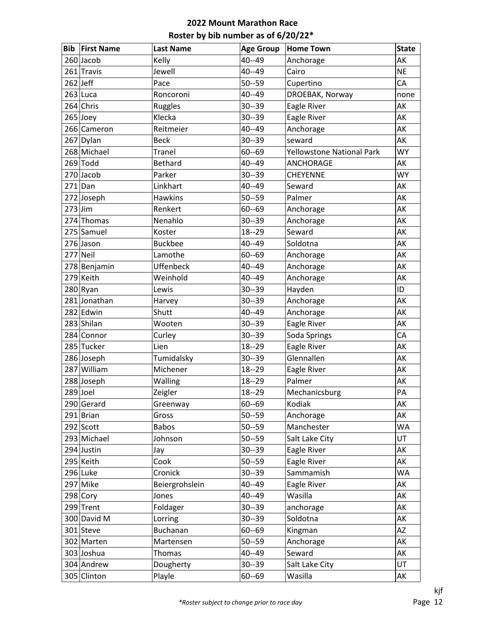| Bib        | <b>First Name</b> | <b>Last Name</b> | <b>Age Group</b> | <b>Home Town</b>          | <b>State</b> |
|------------|-------------------|------------------|------------------|---------------------------|--------------|
|            | $260$ Jacob       | Kelly            | 40--49           | Anchorage                 | AK           |
|            | 261 Travis        | Jewell           | $40 - 49$        | Cairo                     | <b>NE</b>    |
| $262$ Jeff |                   | Pace             | $50 - 59$        | Cupertino                 | CA           |
|            | $263$ Luca        | Roncoroni        | 40--49           | DROEBAK, Norway           | none         |
|            | 264 Chris         | Ruggles          | $30 - 39$        | Eagle River               | AK           |
|            | $265$ Joey        | Klecka           | $30 - 39$        | Eagle River               | AK           |
|            | 266 Cameron       | Reitmeier        | $40 - 49$        | Anchorage                 | AK           |
|            | 267 Dylan         | <b>Beck</b>      | $30 - 39$        | seward                    | AK           |
|            | 268 Michael       | <b>Tranel</b>    | $60 - 69$        | Yellowstone National Park | <b>WY</b>    |
|            | $269$ Todd        | <b>Bethard</b>   | $40 - 49$        | <b>ANCHORAGE</b>          | AK           |
|            | $270$ Jacob       | Parker           | $30 - 39$        | <b>CHEYENNE</b>           | <b>WY</b>    |
|            | $271$ Dan         | Linkhart         | $40 - 49$        | Seward                    | AK           |
|            | 272 Joseph        | Hawkins          | $50 - 59$        | Palmer                    | AK           |
| $273$ Jim  |                   | Renkert          | $60 - 69$        | Anchorage                 | AK           |
|            | 274 Thomas        | Nenahlo          | $30 - 39$        | Anchorage                 | AK           |
|            | 275 Samuel        | Koster           | $18 - 29$        | Seward                    | AK           |
|            | 276 Jason         | <b>Buckbee</b>   | $40 - 49$        | Soldotna                  | AK           |
|            | 277 Neil          | Lamothe          | $60 - 69$        | Anchorage                 | AK           |
|            | 278 Benjamin      | Uffenbeck        | $40 - 49$        | Anchorage                 | AK           |
|            | 279 Keith         | Weinhold         | $40 - 49$        | Anchorage                 | AK           |
|            | $280$ Ryan        | Lewis            | $30 - 39$        | Hayden                    | ID           |
|            | 281 Jonathan      | Harvey           | $30 - 39$        | Anchorage                 | AK           |
|            | 282 Edwin         | Shutt            | 40--49           | Anchorage                 | AK           |
|            | 283 Shilan        | Wooten           | $30 - 39$        | Eagle River               | AK           |
|            | 284 Connor        | Curley           | $30 - 39$        | Soda Springs              | CA           |
|            | 285 Tucker        | Lien             | $18 - 29$        | Eagle River               | AK           |
|            | 286 Joseph        | Tumidalsky       | $30 - 39$        | Glennallen                | AK           |
|            | 287 William       | Michener         | $18 - 29$        | Eagle River               | AK           |
|            | 288 Joseph        | Walling          | $18 - 29$        | Palmer                    | AK           |
|            | $289$ Joel        | Zeigler          | $18 - 29$        | Mechanicsburg             | PA           |
|            | 290 Gerard        | Greenway         | $60 - 69$        | Kodiak                    | AK           |
|            | $291$ Brian       | Gross            | $50 - 59$        | Anchorage                 | AK           |
|            | $292$ Scott       | <b>Babos</b>     | $50 - 59$        | Manchester                | <b>WA</b>    |
|            | 293 Michael       | Johnson          | $50 - 59$        | Salt Lake City            | UT           |
|            | 294 Justin        | Jay              | $30 - 39$        | Eagle River               | AK           |
|            | 295 Keith         | Cook             | $50 - 59$        | Eagle River               | AK           |
|            | 296 Luke          | Cronick          | $30 - 39$        | Sammamish                 | WA           |
|            | 297 Mike          | Beiergrohslein   | $40 - 49$        | Eagle River               | AK           |
|            | $298$ Cory        | Jones            | $40 - 49$        | Wasilla                   | AK           |
|            | 299 Trent         | Foldager         | $30 - 39$        | anchorage                 | AK           |
|            | 300 David M       | Lorring          | $30 - 39$        | Soldotna                  | AK           |
|            | 301 Steve         | Buchanan         | $60 - 69$        | Kingman                   | AZ           |
|            | 302 Marten        | Martensen        | $50 - 59$        | Anchorage                 | AK           |
|            | 303 Joshua        | Thomas           | $40 - 49$        | Seward                    | AK           |
|            | 304 Andrew        | Dougherty        | $30 - 39$        | Salt Lake City            | UT           |
|            | 305 Clinton       | Playle           | $60 - 69$        | Wasilla                   | AK           |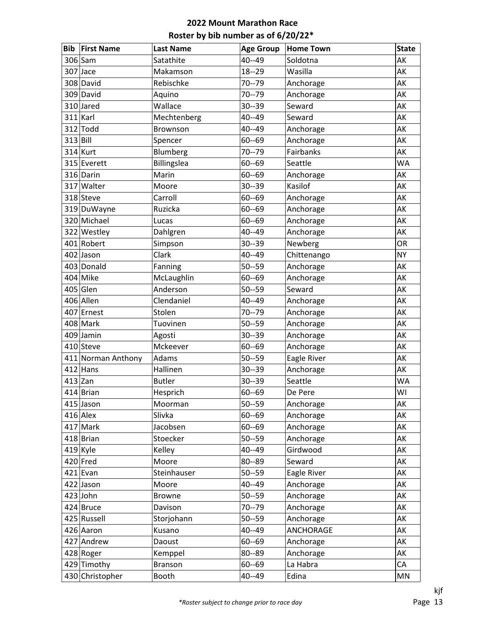| <b>Bib</b> | <b>First Name</b>  | <b>Last Name</b> | <b>Age Group</b> | <b>Home Town</b> | <b>State</b>           |
|------------|--------------------|------------------|------------------|------------------|------------------------|
|            | 306 Sam            | Satathite        | 40--49           | Soldotna         | AK                     |
|            | $307$ Jace         | Makamson         | $18 - 29$        | Wasilla          | AK                     |
|            | 308 David          | Rebischke        | $70 - 79$        | Anchorage        | AK                     |
|            | 309 David          | Aquino           | $70 - 79$        | Anchorage        | AK                     |
|            | 310 Jared          | Wallace          | $30 - 39$        | Seward           | AK                     |
|            | $311$ Karl         | Mechtenberg      | 40--49           | Seward           | AK                     |
|            | $312$ Todd         | Brownson         | $40 - 49$        | Anchorage        | AK                     |
| $313$ Bill |                    | Spencer          | $60 - 69$        | Anchorage        | AK                     |
|            | $314$ Kurt         | Blumberg         | $70 - 79$        | Fairbanks        | AK                     |
|            | 315 Everett        | Billingslea      | $60 - 69$        | Seattle          | <b>WA</b>              |
|            | 316 Darin          | Marin            | $60 - 69$        | Anchorage        | AK                     |
|            | 317 Walter         | Moore            | $30 - 39$        | Kasilof          | AK                     |
|            | 318 Steve          | Carroll          | $60 - 69$        | Anchorage        | AK                     |
|            | 319 DuWayne        | Ruzicka          | $60 - 69$        | Anchorage        | AK                     |
|            | 320 Michael        | Lucas            | $60 - 69$        | Anchorage        | AK                     |
|            | 322 Westley        | Dahlgren         | $40 - 49$        | Anchorage        | AK                     |
|            | 401 Robert         | Simpson          | $30 - 39$        | Newberg          | <b>OR</b>              |
|            | 402 Jason          | Clark            | 40--49           | Chittenango      | <b>NY</b>              |
|            | 403 Donald         | Fanning          | $50 - 59$        | Anchorage        | AK                     |
|            | $404$ Mike         | McLaughlin       | $60 - 69$        | Anchorage        | AK                     |
|            | $405$ Glen         | Anderson         | $50 - 59$        | Seward           | AK                     |
|            | 406 Allen          | Clendaniel       | $40 - 49$        | Anchorage        | AK                     |
|            | 407 Ernest         | Stolen           | $70 - 79$        | Anchorage        | AK                     |
|            | 408 Mark           | Tuovinen         | $50 - 59$        | Anchorage        | AK                     |
|            | $409$ Jamin        | Agosti           | $30 - 39$        | Anchorage        | AK                     |
|            | 410 Steve          | Mckeever         | $60 - 69$        | Anchorage        | AK                     |
|            | 411 Norman Anthony | Adams            | $50 - 59$        | Eagle River      | AK                     |
|            | $412$ Hans         | Hallinen         | $30 - 39$        | Anchorage        | AK                     |
| $413$ Zan  |                    | <b>Butler</b>    | $30 - 39$        | Seattle          | <b>WA</b>              |
|            | 414 Brian          | Hesprich         | $60 - 69$        | De Pere          | WI                     |
|            | 415 Jason          | Moorman          | $50 - 59$        | Anchorage        | AK                     |
|            | $416$ Alex         | Slivka           | $60 - 69$        | Anchorage        | AK                     |
|            | 417 Mark           | Jacobsen         | $60 - 69$        | Anchorage        | AK                     |
|            | $418$ Brian        | Stoecker         | $50 - 59$        | Anchorage        | AK                     |
|            | $419$ Kyle         | Kelley           | 40--49           | Girdwood         | AK                     |
|            | $420$ Fred         | Moore            | 80--89           | Seward           | AK                     |
|            | $421$  Evan        | Steinhauser      | $50 - 59$        | Eagle River      | AK                     |
|            | 422 Jason          | Moore            | $40 - 49$        | Anchorage        | AK                     |
|            | $423$ John         | <b>Browne</b>    | $50 - 59$        | Anchorage        | AK                     |
|            | $424$ Bruce        | Davison          | $70 - 79$        | Anchorage        | AK                     |
|            | 425 Russell        | Storjohann       | $50 - 59$        | Anchorage        | AK                     |
|            | 426 Aaron          | Kusano           | $40 - 49$        | ANCHORAGE        | AK                     |
|            | 427 Andrew         | Daoust           | $60 - 69$        | Anchorage        | AK                     |
|            | 428 Roger          | Kemppel          | 80--89           | Anchorage        | AK                     |
|            | 429 Timothy        | <b>Branson</b>   | $60 - 69$        | La Habra         | CA                     |
|            | 430 Christopher    | Booth            | 40--49           | Edina            | $\mathsf{M}\mathsf{N}$ |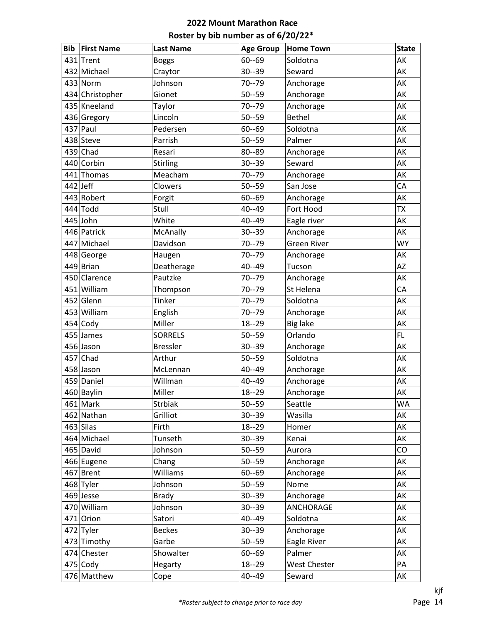| <b>Bib</b> | <b>First Name</b> | <b>Last Name</b> | <b>Age Group</b> | <b>Home Town</b>    | <b>State</b> |
|------------|-------------------|------------------|------------------|---------------------|--------------|
|            | 431 Trent         | <b>Boggs</b>     | $60 - 69$        | Soldotna            | AK           |
|            | 432 Michael       | Craytor          | $30 - 39$        | Seward              | AK           |
|            | $433$ Norm        | Johnson          | $70 - 79$        | Anchorage           | AK           |
|            | 434 Christopher   | Gionet           | $50 - 59$        | Anchorage           | AK           |
|            | 435 Kneeland      | Taylor           | $70 - 79$        | Anchorage           | AK           |
|            | 436 Gregory       | Lincoln          | $50 - 59$        | <b>Bethel</b>       | AK           |
|            | $437$ Paul        | Pedersen         | $60 - 69$        | Soldotna            | AK           |
|            | 438 Steve         | Parrish          | $50 - 59$        | Palmer              | AK           |
|            | $439$ Chad        | Resari           | 80--89           | Anchorage           | AK           |
|            | 440 Corbin        | Stirling         | $30 - 39$        | Seward              | AK           |
|            | 441 Thomas        | Meacham          | $70 - 79$        | Anchorage           | AK           |
| $442$ Jeff |                   | Clowers          | $50 - 59$        | San Jose            | CA           |
|            | 443 Robert        | Forgit           | $60 - 69$        | Anchorage           | AK           |
|            | 444 Todd          | Stull            | 40--49           | Fort Hood           | <b>TX</b>    |
|            | 445 John          | White            | 40--49           | Eagle river         | AK           |
|            | 446 Patrick       | McAnally         | $30 - 39$        | Anchorage           | AK           |
|            | 447 Michael       | Davidson         | $70 - 79$        | <b>Green River</b>  | <b>WY</b>    |
|            | 448 George        | Haugen           | $70 - 79$        | Anchorage           | AK           |
|            | 449 Brian         | Deatherage       | 40--49           | Tucson              | <b>AZ</b>    |
|            | 450 Clarence      | Pautzke          | $70 - 79$        | Anchorage           | AK           |
|            | 451 William       | Thompson         | $70 - 79$        | St Helena           | CA           |
|            | 452 Glenn         | Tinker           | $70 - 79$        | Soldotna            | AK           |
|            | 453 William       | English          | $70 - 79$        | Anchorage           | AK           |
|            | $454$ Cody        | Miller           | $18 - 29$        | <b>Big lake</b>     | AK           |
|            | 455 James         | <b>SORRELS</b>   | $50 - 59$        | Orlando             | FL.          |
|            | 456 Jason         | <b>Bressler</b>  | $30 - 39$        | Anchorage           | AK           |
|            | $457$ Chad        | Arthur           | $50 - 59$        | Soldotna            | AK           |
|            | 458 Jason         | McLennan         | 40--49           | Anchorage           | AK           |
|            | 459 Daniel        | Willman          | 40--49           | Anchorage           | AK           |
|            | 460 Baylin        | Miller           | $18 - 29$        | Anchorage           | АK           |
|            | 461 Mark          | <b>Strbiak</b>   | $50 - 59$        | Seattle             | <b>WA</b>    |
|            | 462 Nathan        | Grilliot         | $30 - 39$        | Wasilla             | AK           |
|            | $463$ Silas       | Firth            | $18 - 29$        | Homer               | AK           |
|            | 464 Michael       | Tunseth          | $30 - 39$        | Kenai               | AK           |
|            | 465 David         | Johnson          | $50 - 59$        | Aurora              | CO           |
|            | 466 Eugene        | Chang            | $50 - 59$        | Anchorage           | AK           |
|            | 467 Brent         | Williams         | $60 - 69$        | Anchorage           | AK           |
|            | 468 Tyler         | Johnson          | $50 - 59$        | Nome                | AK           |
|            | 469 Jesse         | <b>Brady</b>     | $30 - 39$        | Anchorage           | AK           |
|            | 470 William       | Johnson          | $30 - 39$        | ANCHORAGE           | AK           |
|            | $471$ Orion       | Satori           | 40--49           | Soldotna            | AK           |
|            | 472 Tyler         | <b>Beckes</b>    | $30 - 39$        | Anchorage           | AK           |
|            | 473 Timothy       | Garbe            | $50 - 59$        | Eagle River         | AK           |
|            | 474 Chester       | Showalter        | $60 - 69$        | Palmer              | AK           |
|            | $475$ Cody        | Hegarty          | $18 - 29$        | <b>West Chester</b> | PA           |
|            | 476 Matthew       | Cope             | 40--49           | Seward              | AK           |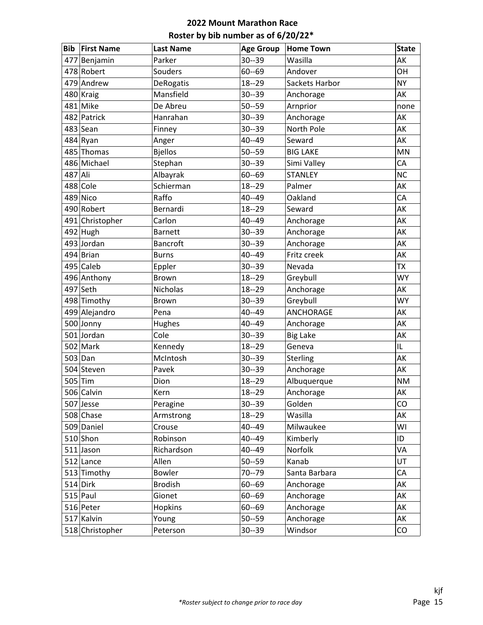| <b>Bib</b> | <b>First Name</b> | <b>Last Name</b> | <b>Age Group</b> | <b>Home Town</b> | <b>State</b> |
|------------|-------------------|------------------|------------------|------------------|--------------|
|            | 477 Benjamin      | Parker           | $30 - 39$        | Wasilla          | AK           |
|            | 478 Robert        | Souders          | $60 - 69$        | Andover          | OH           |
|            | 479 Andrew        | <b>DeRogatis</b> | $18 - 29$        | Sackets Harbor   | <b>NY</b>    |
|            | 480 Kraig         | Mansfield        | 30--39           | Anchorage        | AK           |
|            | 481 Mike          | De Abreu         | $50 - 59$        | Arnprior         | none         |
|            | 482 Patrick       | Hanrahan         | 30--39           | Anchorage        | AK           |
|            | $483$ Sean        | Finney           | $30 - 39$        | North Pole       | AK           |
|            | 484 Ryan          | Anger            | 40--49           | Seward           | AK           |
|            | 485 Thomas        | <b>Bjellos</b>   | $50 - 59$        | <b>BIG LAKE</b>  | MN           |
|            | 486 Michael       | Stephan          | $30 - 39$        | Simi Valley      | CA           |
| 487 Ali    |                   | Albayrak         | $60 - 69$        | <b>STANLEY</b>   | <b>NC</b>    |
|            | 488 Cole          | Schierman        | $18 - 29$        | Palmer           | AK           |
|            | 489 Nico          | Raffo            | 40--49           | Oakland          | CA           |
|            | 490 Robert        | Bernardi         | $18 - 29$        | Seward           | AK           |
|            | 491 Christopher   | Carlon           | 40--49           | Anchorage        | AK           |
|            | $492$ Hugh        | <b>Barnett</b>   | 30--39           | Anchorage        | AK           |
|            | 493 Jordan        | Bancroft         | $30 - 39$        | Anchorage        | AK           |
|            | 494 Brian         | <b>Burns</b>     | 40--49           | Fritz creek      | AK           |
|            | 495 Caleb         | Eppler           | $30 - 39$        | Nevada           | <b>TX</b>    |
|            | 496 Anthony       | Brown            | $18 - 29$        | Greybull         | <b>WY</b>    |
|            | 497 Seth          | Nicholas         | $18 - 29$        | Anchorage        | AK           |
|            | 498 Timothy       | Brown            | $30 - 39$        | Greybull         | <b>WY</b>    |
|            | 499 Alejandro     | Pena             | 40--49           | <b>ANCHORAGE</b> | AK           |
|            | 500 Jonny         | Hughes           | 40--49           | Anchorage        | AK           |
|            | 501 Jordan        | Cole             | 30--39           | <b>Big Lake</b>  | AK           |
|            | $502$ Mark        | Kennedy          | $18 - 29$        | Geneva           | IL           |
|            | 503 Dan           | McIntosh         | $30 - 39$        | Sterling         | AK           |
|            | 504 Steven        | Pavek            | 30--39           | Anchorage        | AK           |
|            | $505$ Tim         | Dion             | $18 - 29$        | Albuquerque      | <b>NM</b>    |
|            | 506 Calvin        | Kern             | $18 - 29$        | Anchorage        | AK           |
|            | 507 Jesse         | Peragine         | $30 - 39$        | Golden           | CO           |
|            | 508 Chase         | Armstrong        | 18--29           | Wasilla          | AK           |
|            | 509 Daniel        | Crouse           | 40--49           | Milwaukee        | WI           |
|            | $510$ Shon        | Robinson         | 40--49           | Kimberly         | ID           |
|            | $511$ Jason       | Richardson       | 40--49           | Norfolk          | VA           |
|            | $512$ Lance       | Allen            | $50 - 59$        | Kanab            | UT           |
|            | 513 Timothy       | <b>Bowler</b>    | 70--79           | Santa Barbara    | CA           |
|            | $514$ Dirk        | <b>Brodish</b>   | $60 - 69$        | Anchorage        | AK           |
|            | $515$ Paul        | Gionet           | $60 - 69$        | Anchorage        | AK           |
|            | 516 Peter         | <b>Hopkins</b>   | $60 - 69$        | Anchorage        | АK           |
|            | 517 Kalvin        | Young            | $50 - 59$        | Anchorage        | AK           |
|            | 518 Christopher   | Peterson         | 30--39           | Windsor          | CO           |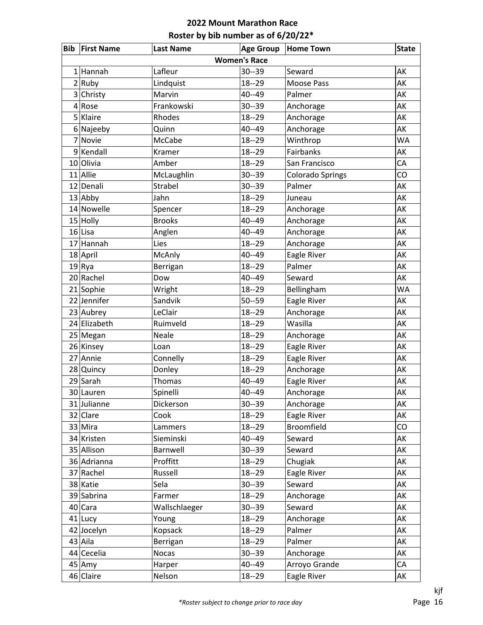|   | <b>Bib First Name</b> | <b>Last Name</b> | <b>Age Group</b> | <b>Home Town</b>        | <b>State</b> |  |  |
|---|-----------------------|------------------|------------------|-------------------------|--------------|--|--|
|   | <b>Women's Race</b>   |                  |                  |                         |              |  |  |
|   | $1$  Hannah           | Lafleur          | $30 - 39$        | Seward                  | AK           |  |  |
|   | 2 Ruby                | Lindquist        | $18 - 29$        | Moose Pass              | AK           |  |  |
|   | 3 Christy             | Marvin           | 40--49           | Palmer                  | AK           |  |  |
| 4 | Rose                  | Frankowski       | $30 - 39$        | Anchorage               | AK           |  |  |
| 5 | Klaire                | Rhodes           | $18 - 29$        | Anchorage               | AK           |  |  |
|   | 6 Najeeby             | Quinn            | 40--49           | Anchorage               | AK           |  |  |
| 7 | Novie                 | McCabe           | $18 - 29$        | Winthrop                | <b>WA</b>    |  |  |
|   | 9 Kendall             | Kramer           | $18 - 29$        | Fairbanks               | AK           |  |  |
|   | 10 Olivia             | Amber            | $18 - 29$        | San Francisco           | CA           |  |  |
|   | 11 Allie              | McLaughlin       | $30 - 39$        | <b>Colorado Springs</b> | CO           |  |  |
|   | 12 Denali             | Strabel          | $30 - 39$        | Palmer                  | AK           |  |  |
|   | $13$ Abby             | Jahn             | $18 - 29$        | Juneau                  | AK           |  |  |
|   | 14 Nowelle            | Spencer          | $18 - 29$        | Anchorage               | AK           |  |  |
|   | $15$ Holly            | <b>Brooks</b>    | $40 - 49$        | Anchorage               | AK           |  |  |
|   | $16$ Lisa             | Anglen           | $40 - 49$        | Anchorage               | AK           |  |  |
|   | 17 Hannah             | Lies             | $18 - 29$        | Anchorage               | AK           |  |  |
|   | 18 April              | McAnly           | 40--49           | Eagle River             | AK           |  |  |
|   | 19 Rya                | Berrigan         | $18 - 29$        | Palmer                  | AK           |  |  |
|   | 20 Rachel             | Dow              | 40--49           | Seward                  | AK           |  |  |
|   | 21 Sophie             | Wright           | $18 - 29$        | Bellingham              | <b>WA</b>    |  |  |
|   | 22 Jennifer           | Sandvik          | $50 - 59$        | Eagle River             | AK           |  |  |
|   | 23 Aubrey             | LeClair          | $18 - 29$        | Anchorage               | AK           |  |  |
|   | 24 Elizabeth          | Ruimveld         | $18 - 29$        | Wasilla                 | AK           |  |  |
|   | 25 Megan              | Neale            | $18 - 29$        | Anchorage               | AK           |  |  |
|   | 26 Kinsey             | Loan             | $18 - 29$        | Eagle River             | AK           |  |  |
|   | 27 Annie              | Connelly         | $18 - 29$        | Eagle River             | AK           |  |  |
|   | 28 Quincy             | Donley           | $18 - 29$        | Anchorage               | AK           |  |  |
|   | $29$ Sarah            | Thomas           | 40--49           | Eagle River             | AK           |  |  |
|   | 30 Lauren             | Spinelli         | $40 - 49$        | Anchorage               | AK           |  |  |
|   | 31 Julianne           | Dickerson        | $30 - 39$        | Anchorage               | AK           |  |  |
|   | 32 Clare              | Cook             | $18 - 29$        | Eagle River             | AK           |  |  |
|   | 33 Mira               | Lammers          | $18 - 29$        | Broomfield              | CO           |  |  |
|   | 34 Kristen            | Sieminski        | 40--49           | Seward                  | AK           |  |  |
|   | 35 Allison            | Barnwell         | $30 - 39$        | Seward                  | AK           |  |  |
|   | 36 Adrianna           | Proffitt         | $18 - 29$        | Chugiak                 | AK           |  |  |
|   | 37 Rachel             | Russell          | $18 - 29$        | Eagle River             | AK           |  |  |
|   | 38 Katie              | Sela             | $30 - 39$        | Seward                  | AK           |  |  |
|   | 39 Sabrina            | Farmer           | $18 - 29$        | Anchorage               | AK           |  |  |
|   | 40 Cara               | Wallschlaeger    | $30 - 39$        | Seward                  | AK           |  |  |
|   | 41 Lucy               | Young            | $18 - 29$        | Anchorage               | AK           |  |  |
|   | 42 Jocelyn            | Kopsack          | $18 - 29$        | Palmer                  | AK           |  |  |
|   | $43$ Aila             | Berrigan         | $18 - 29$        | Palmer                  | AK           |  |  |
|   | 44 Cecelia            | Nocas            | $30 - 39$        | Anchorage               | AK           |  |  |
|   | $45$ Amy              | Harper           | 40--49           | Arroyo Grande           | CA           |  |  |
|   | 46 Claire             | Nelson           | $18 - 29$        | Eagle River             | AK           |  |  |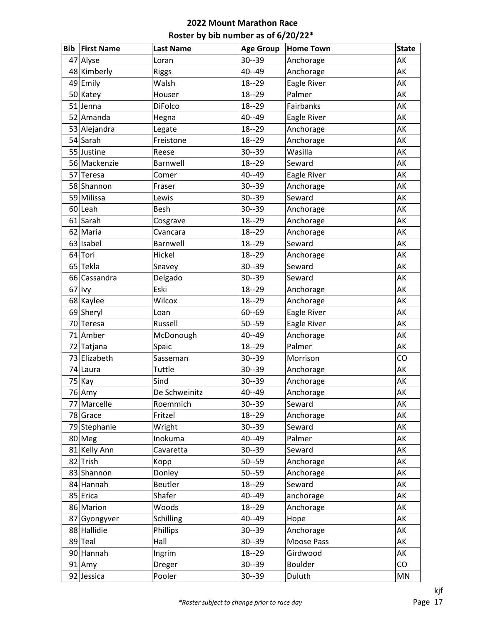| <b>Bib</b> | <b>First Name</b> | <b>Last Name</b> | <b>Age Group</b> | <b>Home Town</b> | <b>State</b> |
|------------|-------------------|------------------|------------------|------------------|--------------|
|            | 47 Alyse          | Loran            | $30 - 39$        | Anchorage        | AK           |
|            | 48 Kimberly       | Riggs            | 40--49           | Anchorage        | AK           |
|            | 49 Emily          | Walsh            | $18 - 29$        | Eagle River      | AK           |
|            | 50 Katey          | Houser           | $18 - 29$        | Palmer           | AK           |
| 51         | Jenna             | DiFolco          | $18 - 29$        | Fairbanks        | AK           |
|            | 52 Amanda         | Hegna            | 40--49           | Eagle River      | AK           |
|            | 53 Alejandra      | Legate           | $18 - 29$        | Anchorage        | AK           |
|            | 54 Sarah          | Freistone        | $18 - 29$        | Anchorage        | AK           |
|            | 55 Justine        | Reese            | $30 - 39$        | Wasilla          | AK           |
|            | 56 Mackenzie      | Barnwell         | $18 - 29$        | Seward           | AK           |
|            | 57 Teresa         | Comer            | 40--49           | Eagle River      | AK           |
|            | 58 Shannon        | Fraser           | $30 - 39$        | Anchorage        | AK           |
|            | 59 Milissa        | Lewis            | $30 - 39$        | Seward           | AK           |
|            | 60 Leah           | Besh             | $30 - 39$        | Anchorage        | AK           |
|            | $61$ Sarah        | Cosgrave         | $18 - 29$        | Anchorage        | AK           |
|            | 62 Maria          | Cvancara         | $18 - 29$        | Anchorage        | AK           |
|            | $63$   Isabel     | Barnwell         | $18 - 29$        | Seward           | AK           |
|            | 64 Tori           | Hickel           | $18 - 29$        | Anchorage        | AK           |
|            | 65 Tekla          | Seavey           | $30 - 39$        | Seward           | AK           |
|            | 66 Cassandra      | Delgado          | $30 - 39$        | Seward           | AK           |
| 67         | <b>Ivy</b>        | Eski             | $18 - 29$        | Anchorage        | AK           |
|            | 68 Kaylee         | Wilcox           | $18 - 29$        | Anchorage        | AK           |
|            | 69 Sheryl         | Loan             | $60 - 69$        | Eagle River      | AK           |
|            | 70 Teresa         | Russell          | $50 - 59$        | Eagle River      | AK           |
| 71         | Amber             | McDonough        | 40--49           | Anchorage        | AK           |
|            | 72 Tatjana        | Spaic            | $18 - 29$        | Palmer           | AK           |
|            | 73 Elizabeth      | Sasseman         | $30 - 39$        | Morrison         | CO           |
|            | 74 Laura          | Tuttle           | $30 - 39$        | Anchorage        | AK           |
|            | 75 Kay            | Sind             | $30 - 39$        | Anchorage        | AK           |
|            | 76 Amy            | De Schweinitz    | 40--49           | Anchorage        | АK           |
|            | 77 Marcelle       | Roemmich         | $30 - 39$        | Seward           | AK           |
|            | 78 Grace          | Fritzel          | $18 - 29$        | Anchorage        | AK           |
|            | 79 Stephanie      | Wright           | $30 - 39$        | Seward           | AK           |
|            | 80 Meg            | Inokuma          | 40--49           | Palmer           | AK           |
|            | 81 Kelly Ann      | Cavaretta        | $30 - 39$        | Seward           | AK           |
|            | 82 Trish          | Kopp             | $50 - 59$        | Anchorage        | AK           |
|            | 83 Shannon        | Donley           | $50 - 59$        | Anchorage        | AK           |
|            | 84 Hannah         | Beutler          | $18 - 29$        | Seward           | AK           |
|            | 85 Erica          | Shafer           | 40--49           | anchorage        | AK           |
|            | 86 Marion         | Woods            | $18 - 29$        | Anchorage        | AK           |
|            | 87 Gyongyver      | Schilling        | 40--49           | Hope             | AK           |
|            | 88 Hallidie       | Phillips         | $30 - 39$        | Anchorage        | AK           |
|            | 89 Teal           | Hall             | $30 - 39$        | Moose Pass       | AK           |
|            | 90 Hannah         | Ingrim           | $18 - 29$        | Girdwood         | AK           |
|            | $91$ Amy          | Dreger           | $30 - 39$        | Boulder          | CO           |
|            | 92 Jessica        | Pooler           | $30 - 39$        | Duluth           | MN           |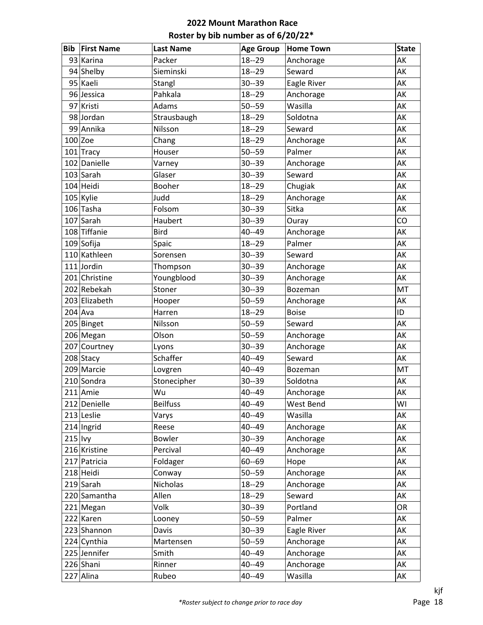| <b>Bib</b> | <b>First Name</b> | <b>Last Name</b> | <b>Age Group</b> | <b>Home Town</b> | <b>State</b> |
|------------|-------------------|------------------|------------------|------------------|--------------|
|            | 93 Karina         | Packer           | $18 - 29$        | Anchorage        | AK           |
|            | 94 Shelby         | Sieminski        | $18 - 29$        | Seward           | AK           |
|            | 95 Kaeli          | Stangl           | $30 - 39$        | Eagle River      | AK           |
|            | 96 Jessica        | Pahkala          | $18 - 29$        | Anchorage        | AK           |
|            | 97 Kristi         | Adams            | $50 - 59$        | Wasilla          | AK           |
|            | 98 Jordan         | Strausbaugh      | $18 - 29$        | Soldotna         | AK           |
|            | 99 Annika         | Nilsson          | $18 - 29$        | Seward           | AK           |
|            | $100$ Zoe         | Chang            | $18 - 29$        | Anchorage        | AK           |
|            | $101$ Tracy       | Houser           | $50 - 59$        | Palmer           | AK           |
|            | 102 Danielle      | Varney           | $30 - 39$        | Anchorage        | AK           |
|            | 103 Sarah         | Glaser           | $30 - 39$        | Seward           | AK           |
|            | 104 Heidi         | Booher           | $18 - 29$        | Chugiak          | AK           |
|            | 105 Kylie         | Judd             | $18 - 29$        | Anchorage        | AK           |
|            | 106 Tasha         | Folsom           | $30 - 39$        | Sitka            | AK           |
|            | 107 Sarah         | Haubert          | $30 - 39$        | Ouray            | CO           |
|            | 108 Tiffanie      | <b>Bird</b>      | $40 - 49$        | Anchorage        | AK           |
|            | $109$ Sofija      | Spaic            | $18 - 29$        | Palmer           | AK           |
|            | 110 Kathleen      | Sorensen         | $30 - 39$        | Seward           | AK           |
|            | $111$ Jordin      | Thompson         | $30 - 39$        | Anchorage        | AK           |
|            | 201 Christine     | Youngblood       | $30 - 39$        | Anchorage        | AK           |
|            | 202 Rebekah       | Stoner           | $30 - 39$        | Bozeman          | MT           |
|            | 203 Elizabeth     | Hooper           | $50 - 59$        | Anchorage        | AK           |
|            | $204$ Ava         | Harren           | $18 - 29$        | <b>Boise</b>     | ID           |
|            | 205 Binget        | Nilsson          | $50 - 59$        | Seward           | AK           |
|            | 206 Megan         | Olson            | $50 - 59$        | Anchorage        | AK           |
|            | 207 Courtney      | Lyons            | $30 - 39$        | Anchorage        | AK           |
|            | 208 Stacy         | Schaffer         | $40 - 49$        | Seward           | AK           |
|            | 209 Marcie        | Lovgren          | $40 - 49$        | Bozeman          | MT           |
|            | 210 Sondra        | Stonecipher      | $30 - 39$        | Soldotna         | AK           |
|            | $211$ Amie        | Wu               | $40 - 49$        | Anchorage        | AK           |
|            | 212 Denielle      | <b>Beilfuss</b>  | $40 - 49$        | West Bend        | WI           |
|            | 213 Leslie        | Varys            | 40--49           | Wasilla          | AK           |
|            | $214$  Ingrid     | Reese            | $40 - 49$        | Anchorage        | AK           |
| $215$  lvy |                   | Bowler           | $30 - 39$        | Anchorage        | AK           |
|            | 216 Kristine      | Percival         | 40--49           | Anchorage        | AK           |
|            | 217 Patricia      | Foldager         | $60 - 69$        | Hope             | AK           |
|            | 218 Heidi         | Conway           | $50 - 59$        | Anchorage        | AK           |
|            | 219 Sarah         | Nicholas         | $18 - 29$        | Anchorage        | AK           |
|            | 220 Samantha      | Allen            | $18 - 29$        | Seward           | AK           |
|            | 221 Megan         | Volk             | $30 - 39$        | Portland         | <b>OR</b>    |
|            | 222 Karen         | Looney           | $50 - 59$        | Palmer           | AK           |
|            | 223 Shannon       | Davis            | $30 - 39$        | Eagle River      | AK           |
|            | 224 Cynthia       | Martensen        | $50 - 59$        | Anchorage        | AK           |
|            | 225 Jennifer      | Smith            | $40 - 49$        | Anchorage        | AK           |
|            | 226 Shani         | Rinner           | $40 - 49$        | Anchorage        | AK           |
|            | 227 Alina         | Rubeo            | $40 - 49$        | Wasilla          | AK           |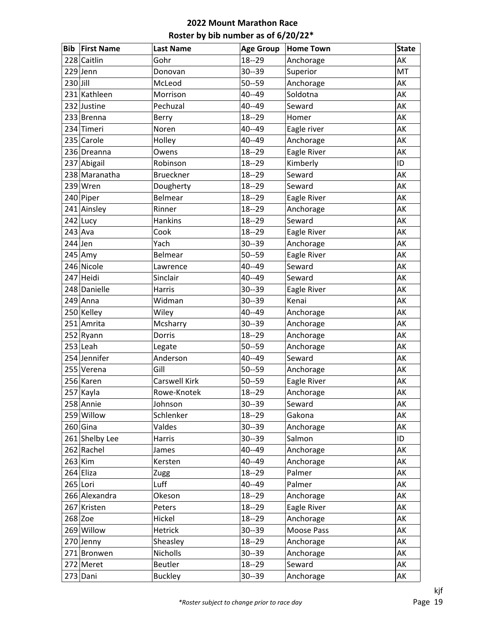| <b>Bib</b> | <b>First Name</b> | <b>Last Name</b>     | <b>Age Group</b> | <b>Home Town</b> | <b>State</b> |
|------------|-------------------|----------------------|------------------|------------------|--------------|
|            | 228 Caitlin       | Gohr                 | $18 - 29$        | Anchorage        | AK           |
|            | $229$ Jenn        | Donovan              | $30 - 39$        | Superior         | MT           |
| $230$ Jill |                   | McLeod               | $50 - 59$        | Anchorage        | AK           |
|            | 231 Kathleen      | Morrison             | 40--49           | Soldotna         | AK           |
|            | 232 Justine       | Pechuzal             | 40--49           | Seward           | AK           |
|            | 233 Brenna        | Berry                | $18 - 29$        | Homer            | AK           |
|            | 234 Timeri        | Noren                | 40--49           | Eagle river      | AK           |
|            | 235 Carole        | Holley               | $40 - 49$        | Anchorage        | AK           |
|            | 236 Dreanna       | Owens                | $18 - 29$        | Eagle River      | AK           |
|            | 237 Abigail       | Robinson             | $18 - 29$        | Kimberly         | ID           |
|            | 238 Maranatha     | <b>Brueckner</b>     | $18 - 29$        | Seward           | AK           |
|            | $239$ Wren        | Dougherty            | $18 - 29$        | Seward           | AK           |
|            | 240 Piper         | Belmear              | $18 - 29$        | Eagle River      | AK           |
|            | 241 Ainsley       | Rinner               | $18 - 29$        | Anchorage        | AK           |
|            | 242 Lucy          | <b>Hankins</b>       | $18 - 29$        | Seward           | AK           |
| $243$ Ava  |                   | Cook                 | $18 - 29$        | Eagle River      | AK           |
| $244$ Jen  |                   | Yach                 | $30 - 39$        | Anchorage        | AK           |
|            | 245 Amy           | <b>Belmear</b>       | $50 - 59$        | Eagle River      | AK           |
|            | 246 Nicole        | Lawrence             | 40--49           | Seward           | AK           |
|            | 247 Heidi         | Sinclair             | 40--49           | Seward           | AK           |
|            | 248 Danielle      | Harris               | $30 - 39$        | Eagle River      | AK           |
|            | 249 Anna          | Widman               | $30 - 39$        | Kenai            | AK           |
|            | 250 Kelley        | Wiley                | 40--49           | Anchorage        | AK           |
|            | 251 Amrita        | Mcsharry             | $30 - 39$        | Anchorage        | AK           |
|            | 252 Ryann         | Dorris               | $18 - 29$        | Anchorage        | AK           |
|            | $253$ Leah        | Legate               | $50 - 59$        | Anchorage        | AK           |
|            | 254 Jennifer      | Anderson             | $40 - 49$        | Seward           | AK           |
|            | 255 Verena        | Gill                 | $50 - 59$        | Anchorage        | AK           |
|            | 256 Karen         | <b>Carswell Kirk</b> | $50 - 59$        | Eagle River      | AK           |
|            | 257 Kayla         | Rowe-Knotek          | $18 - 29$        | Anchorage        | AK           |
|            | 258 Annie         | Johnson              | $30 - 39$        | Seward           | AK           |
|            | 259 Willow        | Schlenker            | $18 - 29$        | Gakona           | AK           |
|            | $260$ Gina        | Valdes               | $30 - 39$        | Anchorage        | AK           |
|            | 261 Shelby Lee    | Harris               | $30 - 39$        | Salmon           | ID           |
|            | 262 Rachel        | James                | 40--49           | Anchorage        | AK           |
|            | $263$ Kim         | Kersten              | 40--49           | Anchorage        | AK           |
|            | 264 Eliza         | Zugg                 | $18 - 29$        | Palmer           | AK           |
|            | 265 Lori          | Luff                 | 40--49           | Palmer           | AK           |
|            | 266 Alexandra     | Okeson               | $18 - 29$        | Anchorage        | AK           |
|            | 267 Kristen       | Peters               | $18 - 29$        | Eagle River      | AK           |
|            | $268$ Zoe         | Hickel               | $18 - 29$        | Anchorage        | AK           |
|            | 269 Willow        | Hetrick              | $30 - 39$        | Moose Pass       | AK           |
|            | 270 Jenny         | Sheasley             | $18 - 29$        | Anchorage        | AK           |
|            | 271 Bronwen       | Nicholls             | $30 - 39$        | Anchorage        | AK           |
|            | 272 Meret         | Beutler              | $18 - 29$        | Seward           | AK           |
|            | 273 Dani          | <b>Buckley</b>       | $30 - 39$        | Anchorage        | AK           |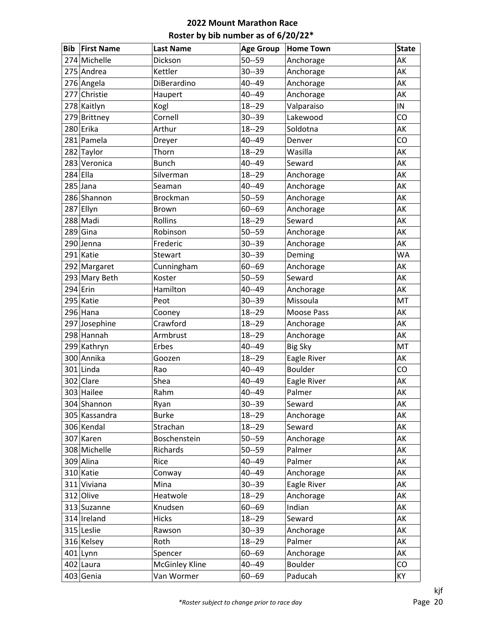| <b>Bib</b> | <b>First Name</b> | <b>Last Name</b>      | <b>Age Group</b> | <b>Home Town</b> | <b>State</b> |
|------------|-------------------|-----------------------|------------------|------------------|--------------|
|            | 274 Michelle      | Dickson               | $50 - 59$        | Anchorage        | AK           |
|            | 275 Andrea        | Kettler               | $30 - 39$        | Anchorage        | AK           |
|            | 276 Angela        | DiBerardino           | $40 - 49$        | Anchorage        | AK           |
|            | 277 Christie      | Haupert               | $40 - 49$        | Anchorage        | AK           |
|            | 278 Kaitlyn       | Kogl                  | $18 - 29$        | Valparaiso       | IN           |
|            | 279 Brittney      | Cornell               | $30 - 39$        | Lakewood         | CO           |
|            | 280 Erika         | Arthur                | $18 - 29$        | Soldotna         | AK           |
|            | 281 Pamela        | Dreyer                | $40 - 49$        | Denver           | CO           |
|            | 282 Taylor        | Thorn                 | $18 - 29$        | Wasilla          | AK           |
|            | 283 Veronica      | <b>Bunch</b>          | $40 - 49$        | Seward           | AK           |
|            | $284$ Ella        | Silverman             | $18 - 29$        | Anchorage        | AK           |
|            | $285$ Jana        | Seaman                | $40 - 49$        | Anchorage        | AK           |
|            | 286 Shannon       | <b>Brockman</b>       | $50 - 59$        | Anchorage        | AK           |
|            | 287 Ellyn         | Brown                 | $60 - 69$        | Anchorage        | AK           |
|            | 288 Madi          | Rollins               | $18 - 29$        | Seward           | AK           |
|            | $289$ Gina        | Robinson              | $50 - 59$        | Anchorage        | AK           |
|            | 290 Jenna         | Frederic              | $30 - 39$        | Anchorage        | AK           |
|            | 291 Katie         | Stewart               | $30 - 39$        | Deming           | <b>WA</b>    |
|            | 292 Margaret      | Cunningham            | $60 - 69$        | Anchorage        | AK           |
|            | 293 Mary Beth     | Koster                | $50 - 59$        | Seward           | AK           |
|            | $294$ Erin        | Hamilton              | $40 - 49$        | Anchorage        | AK           |
|            | 295 Katie         | Peot                  | $30 - 39$        | Missoula         | MT           |
|            | 296 Hana          | Cooney                | $18 - 29$        | Moose Pass       | AK           |
|            | 297 Josephine     | Crawford              | $18 - 29$        | Anchorage        | AK           |
|            | 298 Hannah        | Armbrust              | $18 - 29$        | Anchorage        | AK           |
|            | 299 Kathryn       | Erbes                 | $40 - 49$        | <b>Big Sky</b>   | MT           |
|            | 300 Annika        | Goozen                | $18 - 29$        | Eagle River      | AK           |
|            | $301$ Linda       | Rao                   | $40 - 49$        | <b>Boulder</b>   | CO           |
|            | 302 Clare         | Shea                  | $40 - 49$        | Eagle River      | AK           |
|            | 303 Hailee        | Rahm                  | $40 - 49$        | Palmer           | АK           |
|            | 304 Shannon       | Ryan                  | $30 - 39$        | Seward           | AK           |
|            | 305 Kassandra     | <b>Burke</b>          | $18 - 29$        | Anchorage        | AK           |
|            | 306 Kendal        | Strachan              | $18 - 29$        | Seward           | AK           |
|            | 307 Karen         | Boschenstein          | $50 - 59$        | Anchorage        | AK           |
|            | 308 Michelle      | Richards              | $50 - 59$        | Palmer           | AK           |
|            | 309 Alina         | Rice                  | $40 - 49$        | Palmer           | AK           |
|            | 310 Katie         | Conway                | 40--49           | Anchorage        | AK           |
|            | 311 Viviana       | Mina                  | $30 - 39$        | Eagle River      | AK           |
|            | 312 Olive         | Heatwole              | $18 - 29$        | Anchorage        | AK           |
|            | 313 Suzanne       | Knudsen               | $60 - 69$        | Indian           | AK           |
|            | 314 Ireland       | Hicks                 | $18 - 29$        | Seward           | AK           |
|            | 315 Leslie        | Rawson                | $30 - 39$        | Anchorage        | AK           |
|            | 316 Kelsey        | Roth                  | $18 - 29$        | Palmer           | AK           |
|            | $401$  Lynn       | Spencer               | $60 - 69$        | Anchorage        | AK           |
|            | 402 Laura         | <b>McGinley Kline</b> | $40 - 49$        | Boulder          | CO           |
|            | $403$ Genia       | Van Wormer            | $60 - 69$        | Paducah          | KY           |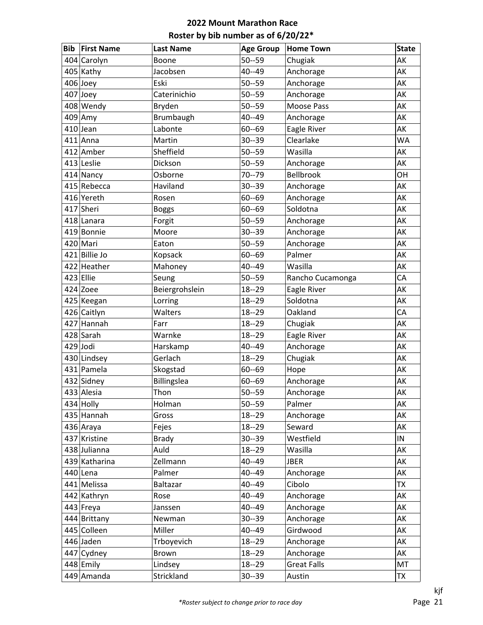| Bib | <b>First Name</b> | <b>Last Name</b> | <b>Age Group</b> | <b>Home Town</b>   | <b>State</b> |
|-----|-------------------|------------------|------------------|--------------------|--------------|
|     | 404 Carolyn       | Boone            | $50 - 59$        | Chugiak            | AK           |
|     | $405$ Kathy       | Jacobsen         | $40 - 49$        | Anchorage          | AK           |
|     | $406$ Joey        | Eski             | $50 - 59$        | Anchorage          | AK           |
|     | $407$ Joey        | Caterinichio     | $50 - 59$        | Anchorage          | AK           |
|     | 408 Wendy         | Bryden           | $50 - 59$        | Moose Pass         | AK           |
|     | $409$ Amy         | Brumbaugh        | $40 - 49$        | Anchorage          | AK           |
|     | $410$ Jean        | Labonte          | $60 - 69$        | Eagle River        | AK           |
|     | $411$ Anna        | Martin           | $30 - 39$        | Clearlake          | <b>WA</b>    |
|     | 412 Amber         | Sheffield        | $50 - 59$        | Wasilla            | AK           |
|     | 413 Leslie        | Dickson          | $50 - 59$        | Anchorage          | AK           |
|     | 414 Nancy         | Osborne          | $70 - 79$        | Bellbrook          | OH           |
|     | 415 Rebecca       | Haviland         | $30 - 39$        | Anchorage          | AK           |
|     | 416 Yereth        | Rosen            | $60 - 69$        | Anchorage          | AK           |
|     | 417 Sheri         | <b>Boggs</b>     | $60 - 69$        | Soldotna           | AK           |
|     | 418 Lanara        | Forgit           | $50 - 59$        | Anchorage          | AK           |
|     | 419 Bonnie        | Moore            | $30 - 39$        | Anchorage          | AK           |
|     | 420 Mari          | Eaton            | $50 - 59$        | Anchorage          | AK           |
|     | 421 Billie Jo     | Kopsack          | $60 - 69$        | Palmer             | AK           |
|     | 422 Heather       | Mahoney          | $40 - 49$        | Wasilla            | AK           |
|     | $423$ Ellie       | Seung            | $50 - 59$        | Rancho Cucamonga   | CA           |
|     | $424$ Zoee        | Beiergrohslein   | $18 - 29$        | Eagle River        | AK           |
|     | 425 Keegan        | Lorring          | $18 - 29$        | Soldotna           | AK           |
|     | 426 Caitlyn       | Walters          | $18 - 29$        | Oakland            | CA           |
|     | 427 Hannah        | Farr             | $18 - 29$        | Chugiak            | AK           |
|     | 428 Sarah         | Warnke           | $18 - 29$        | Eagle River        | AK           |
|     | $429$ Jodi        | Harskamp         | $40 - 49$        | Anchorage          | AK           |
|     | 430 Lindsey       | Gerlach          | $18 - 29$        | Chugiak            | AK           |
|     | 431 Pamela        | Skogstad         | $60 - 69$        | Hope               | AK           |
|     | 432 Sidney        | Billingslea      | $60 - 69$        | Anchorage          | AK           |
|     | 433 Alesia        | Thon             | $50 - 59$        | Anchorage          | AK           |
|     | $434$ Holly       | Holman           | $50 - 59$        | Palmer             | AK           |
|     | 435 Hannah        | Gross            | $18 - 29$        | Anchorage          | AK           |
|     | 436 Araya         | Fejes            | $18 - 29$        | Seward             | AK           |
|     | 437 Kristine      | <b>Brady</b>     | $30 - 39$        | Westfield          | IN           |
|     | 438 Julianna      | Auld             | $18 - 29$        | Wasilla            | AK           |
|     | 439 Katharina     | Zellmann         | $40 - 49$        | <b>JBER</b>        | AK           |
|     | $440$  Lena       | Palmer           | $40 - 49$        | Anchorage          | AK           |
|     | 441 Melissa       | <b>Baltazar</b>  | $40 - 49$        | Cibolo             | <b>TX</b>    |
|     | 442 Kathryn       | Rose             | $40 - 49$        | Anchorage          | AK           |
|     | 443 Freya         | Janssen          | $40 - 49$        | Anchorage          | AK           |
|     | 444 Brittany      | Newman           | $30 - 39$        | Anchorage          | AK           |
|     | 445 Colleen       | Miller           | $40 - 49$        | Girdwood           | AK           |
|     | 446 Jaden         | Trboyevich       | $18 - 29$        | Anchorage          | AK           |
|     | 447 Cydney        | Brown            | $18 - 29$        | Anchorage          | AK           |
|     | 448 Emily         | Lindsey          | $18 - 29$        | <b>Great Falls</b> | MT           |
|     | 449 Amanda        | Strickland       | $30 - 39$        | Austin             | <b>TX</b>    |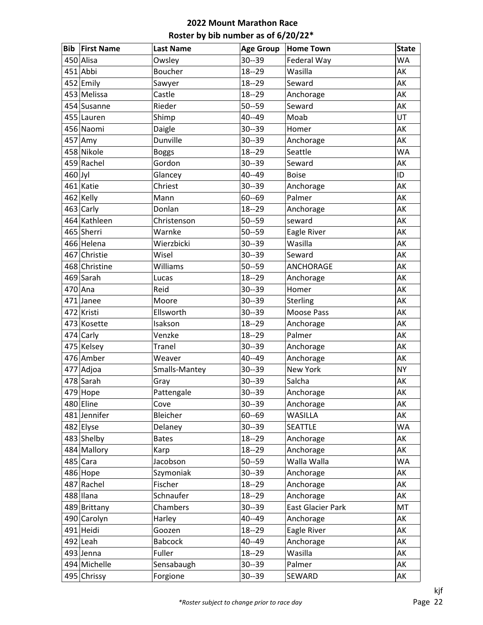| <b>Bib</b> | <b>First Name</b> | <b>Last Name</b> | <b>Age Group</b> | <b>Home Town</b>         | <b>State</b> |
|------------|-------------------|------------------|------------------|--------------------------|--------------|
|            | 450 Alisa         | Owsley           | $30 - 39$        | Federal Way              | <b>WA</b>    |
|            | 451 Abbi          | Boucher          | $18 - 29$        | Wasilla                  | AK           |
|            | 452 Emily         | Sawyer           | $18 - 29$        | Seward                   | AK           |
|            | 453 Melissa       | Castle           | $18 - 29$        | Anchorage                | AK           |
|            | 454 Susanne       | Rieder           | $50 - 59$        | Seward                   | AK           |
|            | 455 Lauren        | Shimp            | 40--49           | Moab                     | UT           |
|            | 456 Naomi         | Daigle           | $30 - 39$        | Homer                    | AK           |
|            | $457$ Amy         | Dunville         | $30 - 39$        | Anchorage                | AK           |
|            | 458 Nikole        | <b>Boggs</b>     | $18 - 29$        | Seattle                  | <b>WA</b>    |
|            | 459 Rachel        | Gordon           | $30 - 39$        | Seward                   | AK           |
| $460$ Jyl  |                   | Glancey          | 40--49           | <b>Boise</b>             | ID           |
|            | 461 Katie         | Chriest          | $30 - 39$        | Anchorage                | AK           |
|            | 462 Kelly         | Mann             | $60 - 69$        | Palmer                   | AK           |
|            | $463$ Carly       | Donlan           | $18 - 29$        | Anchorage                | AK           |
|            | 464 Kathleen      | Christenson      | $50 - 59$        | seward                   | AK           |
|            | 465 Sherri        | Warnke           | $50 - 59$        | Eagle River              | AK           |
|            | 466 Helena        | Wierzbicki       | $30 - 39$        | Wasilla                  | AK           |
|            | 467 Christie      | Wisel            | $30 - 39$        | Seward                   | AK           |
|            | 468 Christine     | Williams         | $50 - 59$        | ANCHORAGE                | AK           |
|            | 469 Sarah         | Lucas            | $18 - 29$        | Anchorage                | AK           |
|            | $470$ Ana         | Reid             | $30 - 39$        | Homer                    | AK           |
|            | 471 Janee         | Moore            | $30 - 39$        | Sterling                 | AK           |
|            | 472 Kristi        | Ellsworth        | $30 - 39$        | <b>Moose Pass</b>        | AK           |
|            | 473 Kosette       | Isakson          | $18 - 29$        | Anchorage                | AK           |
|            | 474 Carly         | Venzke           | $18 - 29$        | Palmer                   | AK           |
|            | 475 Kelsey        | Tranel           | $30 - 39$        | Anchorage                | AK           |
|            | 476 Amber         | Weaver           | 40--49           | Anchorage                | AK           |
|            | 477 Adjoa         | Smalls-Mantey    | $30 - 39$        | New York                 | <b>NY</b>    |
|            | 478 Sarah         | Gray             | $30 - 39$        | Salcha                   | AK           |
|            | $479$ Hope        | Pattengale       | $30 - 39$        | Anchorage                | AK           |
|            | 480 Eline         | Cove             | $30 - 39$        | Anchorage                | AK           |
|            | 481 Jennifer      | Bleicher         | $60 - 69$        | <b>WASILLA</b>           | AK           |
|            | 482 Elyse         | Delaney          | $30 - 39$        | <b>SEATTLE</b>           | WA           |
|            | 483 Shelby        | <b>Bates</b>     | $18 - 29$        | Anchorage                | AK           |
|            | 484 Mallory       | Karp             | $18 - 29$        | Anchorage                | AK           |
|            | $485$ Cara        | Jacobson         | $50 - 59$        | Walla Walla              | <b>WA</b>    |
|            | 486 Hope          | Szymoniak        | $30 - 39$        | Anchorage                | AK           |
|            | 487 Rachel        | Fischer          | $18 - 29$        | Anchorage                | AK           |
|            | 488 Ilana         | Schnaufer        | $18 - 29$        | Anchorage                | AK           |
|            | 489 Brittany      | Chambers         | $30 - 39$        | <b>East Glacier Park</b> | MT           |
|            | 490 Carolyn       | Harley           | 40--49           | Anchorage                | AK           |
|            | 491 Heidi         | Goozen           | $18 - 29$        | Eagle River              | AK           |
|            | $492$  Leah       | <b>Babcock</b>   | 40--49           | Anchorage                | AK           |
|            | 493 Jenna         | Fuller           | $18 - 29$        | Wasilla                  | AK           |
|            | 494 Michelle      | Sensabaugh       | $30 - 39$        | Palmer                   | AK           |
|            | 495 Chrissy       | Forgione         | $30 - 39$        | SEWARD                   | AK           |